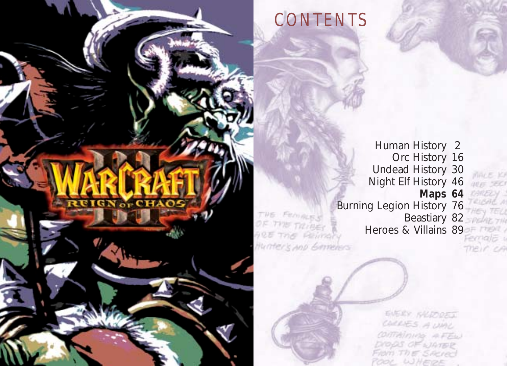# **CONTENTS**

**Munter's And General** 

Human History 2 Orc History 16 Undead History 30 Night Elf History 46 **Maps 64** Burning Legion History 76 THE FRMALES Beastiary 82 OF THE TRIBES Heroes & Villains 89 ARE THE PRIMARY

> **EVERY NYUDREE** CARRIES A UML CONTRIDUOS AFEW OPS OF NATER **MITRE SACred**

IF FO

**TEXE** 

Female

THEIR CA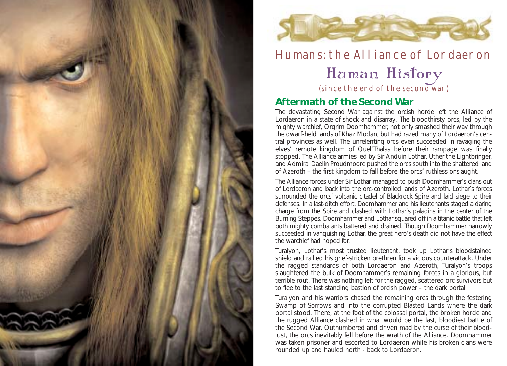



## Humans: the Alliance of LordaeronHaman History (since the end of the second war)

### **Aftermath of the Second War**

The devastating Second War against the orcish horde left the Alliance of Lordaeron in a state of shock and disarray. The bloodthirsty orcs, led by the mighty warchief, Orgrim Doomhammer, not only smashed their way through the dwarf-held lands of Khaz Modan, but had razed many of Lordaeron's central provinces as well. The unrelenting orcs even succeeded in ravaging the elves' remote kingdom of Quel'Thalas before their rampage was finally stopped. The Alliance armies led by Sir Anduin Lothar, Uther the Lightbringer, and Admiral Daelin Proudmoore pushed the orcs south into the shattered land of Azeroth – the first kingdom to fall before the orcs' ruthless onslaught.

The Alliance forces under Sir Lothar managed to push Doomhammer's clans out of Lordaeron and back into the orc-controlled lands of Azeroth. Lothar's forces surrounded the orcs' volcanic citadel of Blackrock Spire and laid siege to their defenses. In a last-ditch effort, Doomhammer and his lieutenants staged a daring charge from the Spire and clashed with Lothar's paladins in the center of the Burning Steppes. Doomhammer and Lothar squared off in a titanic battle that left both mighty combatants battered and drained. Though Doomhammer narrowly succeeded in vanquishing Lothar, the great hero's death did not have the effect the warchief had hoped for.

Turalyon, Lothar's most trusted lieutenant, took up Lothar's bloodstained shield and rallied his grief-stricken brethren for a vicious counterattack. Under the ragged standards of both Lordaeron and Azeroth, Turalyon's troops slaughtered the bulk of Doomhammer's remaining forces in a glorious, but terrible rout. There was nothing left for the ragged, scattered orc survivors but to flee to the last standing bastion of orcish power – the dark portal.

Turalyon and his warriors chased the remaining orcs through the festering Swamp of Sorrows and into the corrupted Blasted Lands where the dark portal stood. There, at the foot of the colossal portal, the broken horde and the rugged Alliance clashed in what would be the last, bloodiest battle of the Second War. Outnumbered and driven mad by the curse of their bloodlust, the orcs inevitably fell before the wrath of the Alliance. Doomhammer was taken prisoner and escorted to Lordaeron while his broken clans were rounded up and hauled north - back to Lordaeron.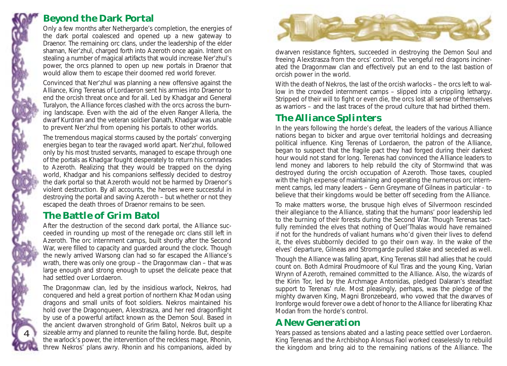### **Beyond the Dark Portal**

Only a few months after Nethergarde's completion, the energies of the dark portal coalesced and opened up a new gateway to Draenor. The remaining orc clans, under the leadership of the elder shaman, Ner'zhul, charged forth into Azeroth once again. Intent on stealing a number of magical artifacts that would increase Ner'zhul's power, the orcs planned to open up new portals in Draenor that would allow them to escape their doomed red world forever.

Convinced that Ner'zhul was planning a new offensive against the Alliance, King Terenas of Lordaeron sent his armies into Draenor to end the orcish threat once and for all. Led by Khadgar and General Turalyon, the Alliance forces clashed with the orcs across the burning landscape. Even with the aid of the elven Ranger Alleria, the dwarf Kurdran and the veteran soldier Danath, Khadgar was unable to prevent Ner'zhul from opening his portals to other worlds.

The tremendous magical storms caused by the portals' converging energies began to tear the ravaged world apart. Ner'zhul, followed only by his most trusted servants, managed to escape through one of the portals as Khadgar fought desperately to return his comrades to Azeroth. Realizing that they would be trapped on the dying world, Khadgar and his companions selflessly decided to destroy the dark portal so that Azeroth would not be harmed by Draenor's violent destruction. By all accounts, the heroes were successful in destroying the portal and saving Azeroth – but whether or not they escaped the death throes of Draenor remains to be seen.

### **The Battle of Grim Batol**

4

After the destruction of the second dark portal, the Alliance succeeded in rounding up most of the renegade orc clans still left in Azeroth. The orc internment camps, built shortly after the Second War, were filled to capacity and guarded around the clock. Though the newly arrived Warsong clan had so far escaped the Alliance's wrath, there was only one group – the Dragonmaw clan – that was large enough and strong enough to upset the delicate peace that had settled over Lordaeron.

The Dragonmaw clan, led by the insidious warlock, Nekros, had conquered and held a great portion of northern Khaz Modan using dragons and small units of foot soldiers. Nekros maintained his hold over the Dragonqueen, Alexstrasza, and her red dragonflight by use of a powerful artifact known as the Demon Soul. Based in the ancient dwarven stronghold of Grim Batol, Nekros built up a sizeable army and planned to reunite the failing horde. But, despite the warlock's power, the intervention of the reckless mage, Rhonin, threw Nekros' plans awry. Rhonin and his companions, aided by



dwarven resistance fighters, succeeded in destroying the Demon Soul and freeing Alexstrasza from the orcs' control. The vengeful red dragons incinerated the Dragonmaw clan and effectively put an end to the last bastion of orcish power in the world.

With the death of Nekros, the last of the orcish warlocks – the orcs left to wallow in the crowded internment camps – slipped into a crippling lethargy. Stripped of their will to fight or even die, the orcs lost all sense of themselves as warriors – and the last traces of the proud culture that had birthed them.

### **The Alliance Splinters**

In the years following the horde's defeat, the leaders of the various Alliance nations began to bicker and argue over territorial holdings and decreasing political influence. King Terenas of Lordaeron, the patron of the Alliance, began to suspect that the fragile pact they had forged during their darkest hour would not stand for long. Terenas had convinced the Alliance leaders to lend money and laborers to help rebuild the city of Stormwind that was destroyed during the orcish occupation of Azeroth. Those taxes, coupled with the high expense of maintaining and operating the numerous orc internment camps, led many leaders – Genn Greymane of Gilneas in particular - to believe that their kingdoms would be better off seceding from the Alliance.

To make matters worse, the brusque high elves of Silvermoon rescinded their allegiance to the Alliance, stating that the humans' poor leadership led to the burning of their forests during the Second War. Though Terenas tactfully reminded the elves that nothing of Quel'Thalas would have remained if not for the hundreds of valiant humans who'd given their lives to defend it, the elves stubbornly decided to go their own way. In the wake of the elves' departure, Gilneas and Stromgarde pulled stake and seceded as well.

Though the Alliance was falling apart, King Terenas still had allies that he could count on. Both Admiral Proudmoore of Kul Tiras and the young King, Varian Wrynn of Azeroth, remained committed to the Alliance. Also, the wizards of the Kirin Tor, led by the Archmage Antonidas, pledged Dalaran's steadfast support to Terenas' rule. Most pleasingly, perhaps, was the pledge of the mighty dwarven King, Magni Bronzebeard, who vowed that the dwarves of Ironforge would forever owe a debt of honor to the Alliance for liberating Khaz Modan from the horde's control.

### **A New Generation**

Years passed as tensions abated and a lasting peace settled over Lordaeron. King Terenas and the Archbishop Alonsus Faol worked ceaselessly to rebuild the kingdom and bring aid to the remaining nations of the Alliance. The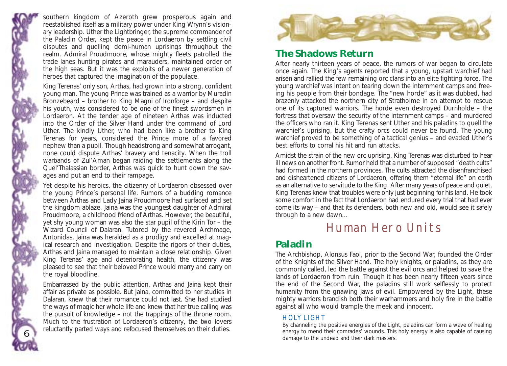southern kingdom of Azeroth grew prosperous again and reestablished itself as a military power under King Wrynn's visionary leadership. Uther the Lightbringer, the supreme commander of the Paladin Order, kept the peace in Lordaeron by settling civil disputes and quelling demi-human uprisings throughout the realm. Admiral Proudmoore, whose mighty fleets patrolled the trade lanes hunting pirates and marauders, maintained order on the high seas. But it was the exploits of a newer generation of heroes that captured the imagination of the populace.

King Terenas' only son, Arthas, had grown into a strong, confident young man. The young Prince was trained as a warrior by Muradin Bronzebeard – brother to King Magni of Ironforge – and despite his youth, was considered to be one of the finest swordsmen in Lordaeron. At the tender age of nineteen Arthas was inducted into the Order of the Silver Hand under the command of Lord Uther. The kindly Uther, who had been like a brother to King Terenas for years, considered the Prince more of a favored nephew than a pupil. Though headstrong and somewhat arrogant, none could dispute Arthas' bravery and tenacity. When the troll warbands of Zul'Aman began raiding the settlements along the Quel'Thalassian border, Arthas was quick to hunt down the savages and put an end to their rampage.

Yet despite his heroics, the citizenry of Lordaeron obsessed over the young Prince's personal life. Rumors of a budding romance between Arthas and Lady Jaina Proudmoore had surfaced and set the kingdom ablaze. Jaina was the youngest daughter of Admiral Proudmoore, a childhood friend of Arthas. However, the beautiful, yet shy young woman was also the star pupil of the Kirin Tor – the Wizard Council of Dalaran. Tutored by the revered Archmage, Antonidas, Jaina was heralded as a prodigy and excelled at magical research and investigation. Despite the rigors of their duties, Arthas and Jaina managed to maintain a close relationship. Given King Terenas' age and deteriorating health, the citizenry was pleased to see that their beloved Prince would marry and carry on the royal bloodline.

Embarrassed by the public attention, Arthas and Jaina kept their affair as private as possible. But Jaina, committed to her studies in Dalaran, knew that their romance could not last. She had studied the ways of magic her whole life and knew that her true calling was the pursuit of knowledge – not the trappings of the throne room. Much to the frustration of Lordaeron's citizenry, the two lovers reluctantly parted ways and refocused themselves on their duties. 6



#### **The Shadows Return**

After nearly thirteen years of peace, the rumors of war began to circulate once again. The King's agents reported that a young, upstart warchief had arisen and rallied the few remaining orc clans into an elite fighting force. The young warchief was intent on tearing down the internment camps and freeing his people from their bondage. The "new horde" as it was dubbed, had brazenly attacked the northern city of Stratholme in an attempt to rescue one of its captured warriors. The horde even destroyed Durnholde – the fortress that oversaw the security of the internment camps – and murdered the officers who ran it. King Terenas sent Uther and his paladins to quell the warchief's uprising, but the crafty orcs could never be found. The young warchief proved to be something of a tactical genius – and evaded Uther's best efforts to corral his hit and run attacks.

Amidst the strain of the new orc uprising, King Terenas was disturbed to hear ill news on another front. Rumor held that a number of supposed "death cults" had formed in the northern provinces. The cults attracted the disenfranchised and disheartened citizens of Lordaeron, offering them "eternal life" on earth as an alternative to servitude to the King. After many years of peace and quiet, King Terenas knew that troubles were only just beginning for his land. He took some comfort in the fact that Lordaeron had endured every trial that had ever come its way – and that its defenders, both new and old, would see it safely through to a new dawn…

## Human Hero Units

#### **Paladin**

The Archbishop, Alonsus Faol, prior to the Second War, founded the Order of the Knights of the Silver Hand. The holy knights, or paladins, as they are commonly called, led the battle against the evil orcs and helped to save the lands of Lordaeron from ruin. Though it has been nearly fifteen years since the end of the Second War, the paladins still work selflessly to protect humanity from the gnawing jaws of evil. Empowered by the Light, these mighty warriors brandish both their warhammers and holy fire in the battle against all who would trample the meek and innocent.

#### HOLY LIGHT

By channeling the positive energies of the Light, paladins can form a wave of healing energy to mend their comrades' wounds. This holy energy is also capable of causing damage to the undead and their dark masters.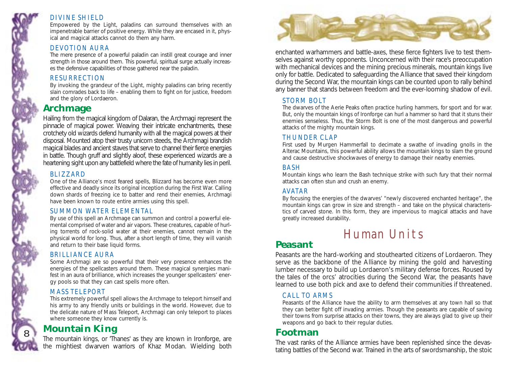#### DIVINE SHIELD

Empowered by the Light, paladins can surround themselves with an impenetrable barrier of positive energy. While they are encased in it, physical and magical attacks cannot do them any harm.

#### DEVOTION AURA

The mere presence of a powerful paladin can instill great courage and inner strength in those around them. This powerful, spiritual surge actually increases the defensive capabilities of those gathered near the paladin.

#### **RESURRECTION**

By invoking the grandeur of the Light, mighty paladins can bring recently slain comrades back to life – enabling them to fight on for justice, freedom and the glory of Lordaeron.

#### **Archmage**

Hailing from the magical kingdom of Dalaran, the Archmagi represent the pinnacle of magical power. Weaving their intricate enchantments, these crotchety old wizards defend humanity with all the magical powers at their disposal. Mounted atop their trusty unicorn steeds, the Archmagi brandish magical blades and ancient staves that serve to channel their fierce energies in battle. Though gruff and slightly aloof, these experienced wizards are a heartening sight upon any battlefield where the fate of humanity lies in peril.

#### BLIZZARD

One of the Alliance's most feared spells, Blizzard has become even more effective and deadly since its original inception during the First War. Calling down shards of freezing ice to batter and rend their enemies, Archmagi have been known to route entire armies using this spell.

#### SUMMON WATER ELEMENTAL

By use of this spell an Archmage can summon and control a powerful elemental comprised of water and air vapors. These creatures, capable of hurling torrents of rock-solid water at their enemies, cannot remain in the physical world for long. Thus, after a short length of time, they will vanish and return to their base liquid forms.

#### BRILLIANCE AURA

Some Archmagi are so powerful that their very presence enhances the energies of the spellcasters around them. These magical synergies manifest in an aura of brilliance, which increases the younger spellcasters' energy pools so that they can cast spells more often.

#### MASS TELEPORT

This extremely powerful spell allows the Archmage to teleport himself and his army to any friendly units or buildings in the world. However, due to the delicate nature of Mass Teleport, Archmagi can only teleport to places where someone they know currently is.

### **Mountain King**

8

The mountain kings, or 'Thanes' as they are known in Ironforge, are the mightiest dwarven warriors of Khaz Modan. Wielding both



enchanted warhammers and battle-axes, these fierce fighters live to test themselves against worthy opponents. Unconcerned with their race's preoccupation with mechanical devices and the mining precious minerals, mountain kings live only for battle. Dedicated to safeguarding the Alliance that saved their kingdom during the Second War, the mountain kings can be counted upon to rally behind any banner that stands between freedom and the ever-looming shadow of evil.

#### STORM BOLT

The dwarves of the Aerie Peaks often practice hurling hammers, for sport and for war. But, only the mountain kings of Ironforge can hurl a hammer so hard that it stuns their enemies senseless. Thus, the Storm Bolt is one of the most dangerous and powerful attacks of the mighty mountain kings.

#### THUNDER CLAP

First used by Murgen Hammerfall to decimate a swathe of invading gnolls in the Alterac Mountains, this powerful ability allows the mountain kings to slam the ground and cause destructive shockwaves of energy to damage their nearby enemies.

#### BASH

Mountain kings who learn the Bash technique strike with such fury that their normal attacks can often stun and crush an enemy.

#### AVATAR

By focusing the energies of the dwarves' "newly discovered enchanted heritage", the mountain kings can grow in size and strength – and take on the physical characteristics of carved stone. In this form, they are impervious to magical attacks and have greatly increased durability.

## Human Units

#### **Peasant**

Peasants are the hard-working and stouthearted citizens of Lordaeron. They serve as the backbone of the Alliance by mining the gold and harvesting lumber necessary to build up Lordaeron's military defense forces. Roused by the tales of the orcs' atrocities during the Second War, the peasants have learned to use both pick and axe to defend their communities if threatened.

#### CALL TO ARMS

Peasants of the Alliance have the ability to arm themselves at any town hall so that they can better fight off invading armies. Though the peasants are capable of saving their towns from surprise attacks on their towns, they are always glad to give up their weapons and go back to their regular duties.

#### **Footman**

The vast ranks of the Alliance armies have been replenished since the devastating battles of the Second war. Trained in the arts of swordsmanship, the stoic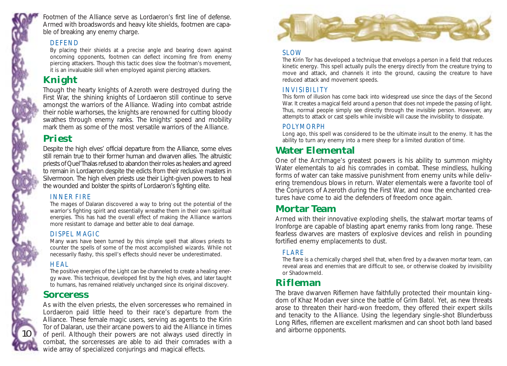Footmen of the Alliance serve as Lordaeron's first line of defense. Armed with broadswords and heavy kite shields, footmen are capable of breaking any enemy charge.

#### DEFEND

By placing their shields at a precise angle and bearing down against oncoming opponents, footmen can deflect incoming fire from enemy piercing attackers. Though this tactic does slow the footman's movement, it is an invaluable skill when employed against piercing attackers.

#### **Knight**

Though the hearty knights of Azeroth were destroyed during the First War, the shining knights of Lordaeron still continue to serve amongst the warriors of the Alliance. Wading into combat astride their noble warhorses, the knights are renowned for cutting bloody swathes through enemy ranks. The knights' speed and mobility mark them as some of the most versatile warriors of the Alliance.

#### **Priest**

Despite the high elves' official departure from the Alliance, some elves still remain true to their former human and dwarven allies. The altruistic priests of Quel'Thalas refused to abandon their roles as healers and agreed to remain in Lordaeron despite the edicts from their reclusive masters in Silvermoon. The high elven priests use their Light-given powers to heal the wounded and bolster the spirits of Lordaeron's fighting elite.

#### INNER FIRE

The mages of Dalaran discovered a way to bring out the potential of the warrior's fighting spirit and essentially wreathe them in their own spiritual energies. This has had the overall effect of making the Alliance warriors more resistant to damage and better able to deal damage.

#### DISPEL MAGIC

Many wars have been turned by this simple spell that allows priests to counter the spells of some of the most accomplished wizards. While not necessarily flashy, this spell's effects should never be underestimated.

#### HEAL

10

The positive energies of the Light can be channeled to create a healing energy wave. This technique, developed first by the high elves, and later taught to humans, has remained relatively unchanged since its original discovery.

#### **Sorceress**

As with the elven priests, the elven sorceresses who remained in Lordaeron paid little heed to their race's departure from the Alliance. These female magic users, serving as agents to the Kirin Tor of Dalaran, use their arcane powers to aid the Alliance in times of peril. Although their powers are not always used directly in combat, the sorceresses are able to aid their comrades with a wide array of specialized conjurings and magical effects.



#### SLOW

The Kirin Tor has developed a technique that envelops a person in a field that reduces kinetic energy. This spell actually pulls the energy directly from the creature trying to move and attack, and channels it into the ground, causing the creature to have reduced attack and movement speeds.

#### INVISIBILITY

This form of illusion has come back into widespread use since the days of the Second War. It creates a magical field around a person that does not impede the passing of light. Thus, normal people simply see directly through the invisible person. However, any attempts to attack or cast spells while invisible will cause the invisibility to dissipate.

#### **POLYMORPH**

Long ago, this spell was considered to be the ultimate insult to the enemy. It has the ability to turn any enemy into a mere sheep for a limited duration of time.

### **Water Elemental**

One of the Archmage's greatest powers is his ability to summon mighty Water elementals to aid his comrades in combat. These mindless, hulking forms of water can take massive punishment from enemy units while delivering tremendous blows in return. Water elementals were a favorite tool of the Conjurors of Azeroth during the First War, and now the enchanted creatures have come to aid the defenders of freedom once again.

#### **Mortar Team**

Armed with their innovative exploding shells, the stalwart mortar teams of Ironforge are capable of blasting apart enemy ranks from long range. These fearless dwarves are masters of explosive devices and relish in pounding fortified enemy emplacements to dust.

#### FLARE

The flare is a chemically charged shell that, when fired by a dwarven mortar team, can reveal areas and enemies that are difficult to see, or otherwise cloaked by invisibility or Shadowmeld.

#### **Rifleman**

The brave dwarven Riflemen have faithfully protected their mountain kingdom of Khaz Modan ever since the battle of Grim Batol. Yet, as new threats arose to threaten their hard-won freedom, they offered their expert skills and tenacity to the Alliance. Using the legendary single-shot Blunderbuss Long Rifles, riflemen are excellent marksmen and can shoot both land based and airborne opponents.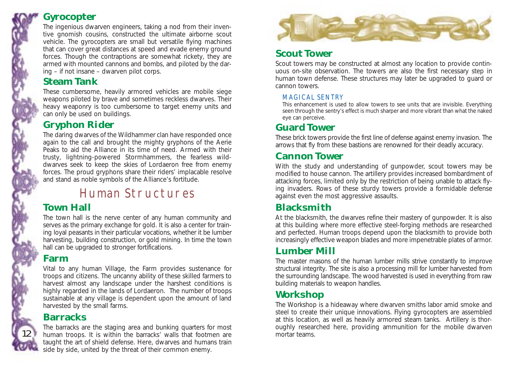### **Gyrocopter**

The ingenious dwarven engineers, taking a nod from their inventive gnomish cousins, constructed the ultimate airborne scout vehicle. The gyrocopters are small but versatile flying machines that can cover great distances at speed and evade enemy ground forces. Though the contraptions are somewhat rickety, they are armed with mounted cannons and bombs, and piloted by the daring – if not insane – dwarven pilot corps.

### **Steam Tank**

These cumbersome, heavily armored vehicles are mobile siege weapons piloted by brave and sometimes reckless dwarves. Their heavy weaponry is too cumbersome to target enemy units and can only be used on buildings.

### **Gryphon Rider**

The daring dwarves of the Wildhammer clan have responded once again to the call and brought the mighty gryphons of the Aerie Peaks to aid the Alliance in its time of need. Armed with their trusty, lightning-powered Stormhammers, the fearless wilddwarves seek to keep the skies of Lordaeron free from enemy forces. The proud gryphons share their riders' implacable resolve and stand as noble symbols of the Alliance's fortitude.

## Human Structures

### **Town Hall**

The town hall is the nerve center of any human community and serves as the primary exchange for gold. It is also a center for training loyal peasants in their particular vocations, whether it be lumber harvesting, building construction, or gold mining. In time the town hall can be upgraded to stronger fortifications.

### **Farm**

Vital to any human Village, the Farm provides sustenance for troops and citizens. The uncanny ability of these skilled farmers to harvest almost any landscape under the harshest conditions is highly regarded in the lands of Lordaeron. The number of troops sustainable at any village is dependent upon the amount of land harvested by the small farms.

### **Barracks**

12

The barracks are the staging area and bunking quarters for most human troops. It is within the barracks' walls that footmen are taught the art of shield defense. Here, dwarves and humans train side by side, united by the threat of their common enemy.



### **Scout Tower**

Scout towers may be constructed at almost any location to provide continuous on-site observation. The towers are also the first necessary step in human town defense. These structures may later be upgraded to guard or cannon towers.

#### MAGICAL SENTRY

This enhancement is used to allow towers to see units that are invisible. Everything seen through the sentry's effect is much sharper and more vibrant than what the naked eye can perceive.

### **Guard Tower**

These brick towers provide the first line of defense against enemy invasion. The arrows that fly from these bastions are renowned for their deadly accuracy.

### **Cannon Tower**

With the study and understanding of gunpowder, scout towers may be modified to house cannon. The artillery provides increased bombardment of attacking forces, limited only by the restriction of being unable to attack flying invaders. Rows of these sturdy towers provide a formidable defense against even the most aggressive assaults.

### **Blacksmith**

At the blacksmith, the dwarves refine their mastery of gunpowder. It is also at this building where more effective steel-forging methods are researched and perfected. Human troops depend upon the blacksmith to provide both increasingly effective weapon blades and more impenetrable plates of armor.

### **Lumber Mill**

The master masons of the human lumber mills strive constantly to improve structural integrity. The site is also a processing mill for lumber harvested from the surrounding landscape. The wood harvested is used in everything from raw building materials to weapon handles.

### **Workshop**

The Workshop is a hideaway where dwarven smiths labor amid smoke and steel to create their unique innovations. Flying gyrocopters are assembled at this location, as well as heavily armored steam tanks. Artillery is thoroughly researched here, providing ammunition for the mobile dwarven mortar teams.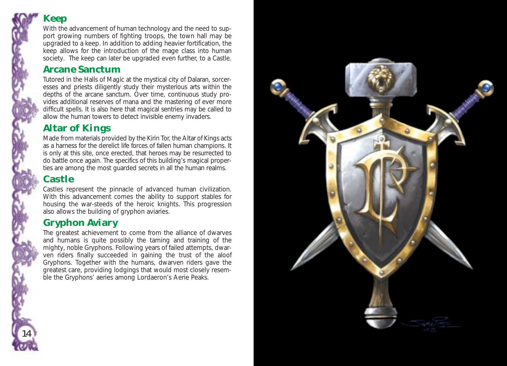### **Keep**

With the advancement of human technology and the need to support growing numbers of fighting troops, the town hall may be upgraded to a keep. In addition to adding heavier fortification, the keep allows for the introduction of the mage class into human society. The keep can later be upgraded even further, to a Castle.

### **Arcane Sanctum**

Tutored in the Halls of Magic at the mystical city of Dalaran, sorceresses and priests diligently study their mysterious arts within the depths of the arcane sanctum. Over time, continuous study provides additional reserves of mana and the mastering of ever more difficult spells. It is also here that magical sentries may be called to allow the human towers to detect invisible enemy invaders.

### **Altar of Kings**

Made from materials provided by the Kirin Tor, the Altar of Kings acts as a harness for the derelict life forces of fallen human champions. It is only at this site, once erected, that heroes may be resurrected to do battle once again. The specifics of this building's magical properties are among the most guarded secrets in all the human realms.

### **Castle**

14

Castles represent the pinnacle of advanced human civilization. With this advancement comes the ability to support stables for housing the war-steeds of the heroic knights. This progression also allows the building of gryphon aviaries.

### **Gryphon Aviary**

The greatest achievement to come from the alliance of dwarves and humans is quite possibly the taming and training of the mighty, noble Gryphons. Following years of failed attempts, dwarven riders finally succeeded in gaining the trust of the aloof Gryphons. Together with the humans, dwarven riders gave the greatest care, providing lodgings that would most closely resemble the Gryphons' aeries among Lordaeron's Aerie Peaks.

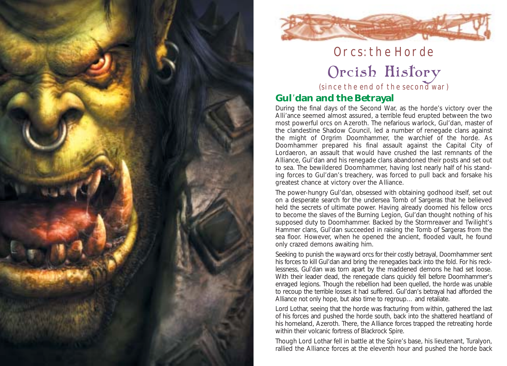



# Orcs: the HordeOrcish History

(since the end of the second war)

### **Gul**'**dan and the Betrayal**

During the final days of the Second War, as the horde's victory over the Alli'ance seemed almost assured, a terrible feud erupted between the two most powerful orcs on Azeroth. The nefarious warlock, Gul'dan, master of the clandestine Shadow Council, led a number of renegade clans against the might of Orgrim Doomhammer, the warchief of the horde. As Doomhammer prepared his final assault against the Capital City of Lordaeron, an assault that would have crushed the last remnants of the Alliance, Gul'dan and his renegade clans abandoned their posts and set out to sea. The bewildered Doomhammer, having lost nearly half of his standing forces to Gul'dan's treachery, was forced to pull back and forsake his greatest chance at victory over the Alliance.

The power-hungry Gul'dan, obsessed with obtaining godhood itself, set out on a desperate search for the undersea Tomb of Sargeras that he believed held the secrets of ultimate power. Having already doomed his fellow orcs to become the slaves of the Burning Legion, Gul'dan thought nothing of his supposed duty to Doomhammer. Backed by the Stormreaver and Twilight's Hammer clans, Gul'dan succeeded in raising the Tomb of Sargeras from the sea floor. However, when he opened the ancient, flooded vault, he found only crazed demons awaiting him.

Seeking to punish the wayward orcs for their costly betrayal, Doomhammer sent his forces to kill Gul'dan and bring the renegades back into the fold. For his recklessness, Gul'dan was torn apart by the maddened demons he had set loose. With their leader dead, the renegade clans quickly fell before Doomhammer's enraged legions. Though the rebellion had been quelled, the horde was unable to recoup the terrible losses it had suffered. Gul'dan's betrayal had afforded the Alliance not only hope, but also time to regroup… and retaliate.

Lord Lothar, seeing that the horde was fracturing from within, gathered the last of his forces and pushed the horde south, back into the shattered heartland of his homeland, Azeroth. There, the Alliance forces trapped the retreating horde within their volcanic fortress of Blackrock Spire.

Though Lord Lothar fell in battle at the Spire's base, his lieutenant, Turalyon, rallied the Alliance forces at the eleventh hour and pushed the horde back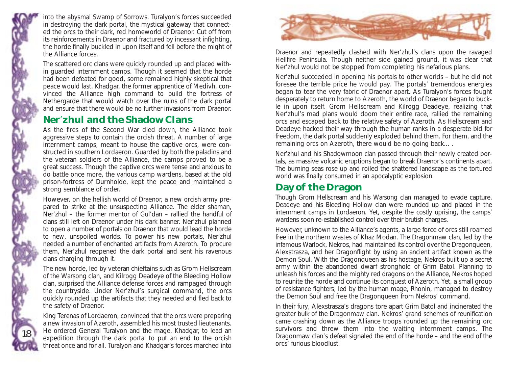into the abysmal Swamp of Sorrows. Turalyon's forces succeeded in destroying the dark portal, the mystical gateway that connected the orcs to their dark, red homeworld of Draenor. Cut off from its reinforcements in Draenor and fractured by incessant infighting, the horde finally buckled in upon itself and fell before the might of the Alliance forces.

The scattered orc clans were quickly rounded up and placed within guarded internment camps. Though it seemed that the horde had been defeated for good, some remained highly skeptical that peace would last. Khadgar, the former apprentice of Medivh, convinced the Alliance high command to build the fortress of Nethergarde that would watch over the ruins of the dark portal and ensure that there would be no further invasions from Draenor.

### **Ner**'**zhul and the Shadow Clans**

As the fires of the Second War died down, the Alliance took aggressive steps to contain the orcish threat. A number of large internment camps, meant to house the captive orcs, were constructed in southern Lordaeron. Guarded by both the paladins and the veteran soldiers of the Alliance, the camps proved to be a great success. Though the captive orcs were tense and anxious to do battle once more, the various camp wardens, based at the old prison-fortress of Durnholde, kept the peace and maintained a strong semblance of order.

However, on the hellish world of Draenor, a new orcish army prepared to strike at the unsuspecting Alliance. The elder shaman, Ner'zhul – the former mentor of Gul'dan – rallied the handful of clans still left on Draenor under his dark banner. Ner'zhul planned to open a number of portals on Draenor that would lead the horde to new, unspoiled worlds. To power his new portals, Ner'zhul needed a number of enchanted artifacts from Azeroth. To procure them, Ner'zhul reopened the dark portal and sent his ravenous clans charging through it.

The new horde, led by veteran chieftains such as Grom Hellscream of the Warsong clan, and Kilrogg Deadeye of the Bleeding Hollow clan, surprised the Alliance defense forces and rampaged through the countryside. Under Ner'zhul's surgical command, the orcs quickly rounded up the artifacts that they needed and fled back to the safety of Draenor.

King Terenas of Lordaeron, convinced that the orcs were preparing a new invasion of Azeroth, assembled his most trusted lieutenants. He ordered General Turalyon and the mage, Khadgar, to lead an expedition through the dark portal to put an end to the orcish threat once and for all. Turalyon and Khadgar's forces marched into

18



Draenor and repeatedly clashed with Ner'zhul's clans upon the ravaged Hellfire Peninsula. Though neither side gained ground, it was clear that Ner'zhul would not be stopped from completing his nefarious plans.

Ner'zhul succeeded in opening his portals to other worlds – but he did not foresee the terrible price he would pay. The portals' tremendous energies began to tear the very fabric of Draenor apart. As Turalyon's forces fought desperately to return home to Azeroth, the world of Draenor began to buckle in upon itself. Grom Hellscream and Kilrogg Deadeye, realizing that Ner'zhul's mad plans would doom their entire race, rallied the remaining orcs and escaped back to the relative safety of Azeroth. As Hellscream and Deadeye hacked their way through the human ranks in a desperate bid for freedom, the dark portal suddenly exploded behind them. For them, and the remaining orcs on Azeroth, there would be no going back... .

Ner'zhul and his Shadowmoon clan passed through their newly created portals, as massive volcanic eruptions began to break Draenor's continents apart. The burning seas rose up and roiled the shattered landscape as the tortured world was finally consumed in an apocalyptic explosion.

### **Day of the Dragon**

Though Grom Hellscream and his Warsong clan managed to evade capture, Deadeye and his Bleeding Hollow clan were rounded up and placed in the internment camps in Lordaeron. Yet, despite the costly uprising, the camps' wardens soon re-established control over their brutish charges.

However, unknown to the Alliance's agents, a large force of orcs still roamed free in the northern wastes of Khaz Modan. The Dragonmaw clan, led by the infamous Warlock, Nekros, had maintained its control over the Dragonqueen, Alexstrasza, and her Dragonflight by using an ancient artifact known as the Demon Soul. With the Dragonqueen as his hostage, Nekros built up a secret army within the abandoned dwarf stronghold of Grim Batol. Planning to unleash his forces and the mighty red dragons on the Alliance, Nekros hoped to reunite the horde and continue its conquest of Azeroth. Yet, a small group of resistance fighters, led by the human mage, Rhonin, managed to destroy the Demon Soul and free the Dragonqueen from Nekros' command.

In their fury, Alexstrasza's dragons tore apart Grim Batol and incinerated the greater bulk of the Dragonmaw clan. Nekros' grand schemes of reunification came crashing down as the Alliance troops rounded up the remaining orc survivors and threw them into the waiting internment camps. The Dragonmaw clan's defeat signaled the end of the horde – and the end of the orcs' furious bloodlust.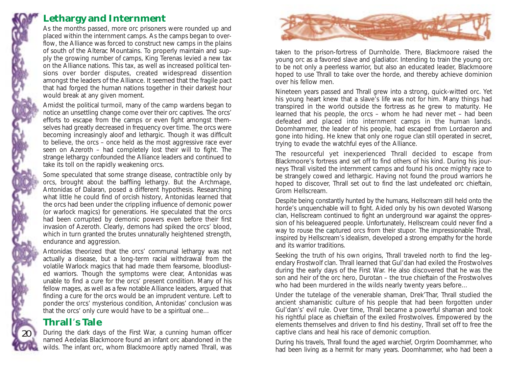### **Lethargy and Internment**

As the months passed, more orc prisoners were rounded up and placed within the internment camps. As the camps began to overflow, the Alliance was forced to construct new camps in the plains of south of the Alterac Mountains. To properly maintain and supply the growing number of camps, King Terenas levied a new tax on the Alliance nations. This tax, as well as increased political tensions over border disputes, created widespread dissention amongst the leaders of the Alliance. It seemed that the fragile pact that had forged the human nations together in their darkest hour would break at any given moment.

Amidst the political turmoil, many of the camp wardens began to notice an unsettling change come over their orc captives. The orcs' efforts to escape from the camps or even fight amongst themselves had greatly decreased in frequency over time. The orcs were becoming increasingly aloof and lethargic. Though it was difficult to believe, the orcs – once held as the most aggressive race ever seen on Azeroth – had completely lost their will to fight. The strange lethargy confounded the Alliance leaders and continued to take its toll on the rapidly weakening orcs.

Some speculated that some strange disease, contractible only by orcs, brought about the baffling lethargy. But the Archmage, Antonidas of Dalaran, posed a different hypothesis. Researching what little he could find of orcish history, Antonidas learned that the orcs had been under the crippling influence of demonic power (or warlock magics) for generations. He speculated that the orcs had been corrupted by demonic powers even before their first invasion of Azeroth. Clearly, demons had spiked the orcs' blood, which in turn granted the brutes unnaturally heightened strength, endurance and aggression.

Antonidas theorized that the orcs' communal lethargy was not actually a disease, but a long-term racial withdrawal from the volatile Warlock magics that had made them fearsome, bloodlusted warriors. Though the symptoms were clear, Antonidas was unable to find a cure for the orcs' present condition. Many of his fellow mages, as well as a few notable Alliance leaders, argued that finding a cure for the orcs would be an imprudent venture. Left to ponder the orcs' mysterious condition, Antonidas' conclusion was that the orcs' only cure would have to be a spiritual one…

#### **Thrall**'**s Tale**

20

During the dark days of the First War, a cunning human officer named Aedelas Blackmoore found an infant orc abandoned in the wilds. The infant orc, whom Blackmoore aptly named Thrall, was



taken to the prison-fortress of Durnholde. There, Blackmoore raised the young orc as a favored slave and gladiator. Intending to train the young orc to be not only a peerless warrior, but also an educated leader, Blackmoore hoped to use Thrall to take over the horde, and thereby achieve dominion over his fellow men.

Nineteen years passed and Thrall grew into a strong, quick-witted orc. Yet his young heart knew that a slave's life was not for him. Many things had transpired in the world outside the fortress as he grew to maturity. He learned that his people, the orcs – whom he had never met – had been defeated and placed into internment camps in the human lands. Doomhammer, the leader of his people, had escaped from Lordaeron and gone into hiding. He knew that only one rogue clan still operated in secret, trying to evade the watchful eyes of the Alliance.

The resourceful yet inexperienced Thrall decided to escape from Blackmoore's fortress and set off to find others of his kind. During his journeys Thrall visited the internment camps and found his once mighty race to be strangely cowed and lethargic. Having not found the proud warriors he hoped to discover, Thrall set out to find the last undefeated orc chieftain, Grom Hellscream.

Despite being constantly hunted by the humans, Hellscream still held onto the horde's unquenchable will to fight. Aided only by his own devoted Warsong clan, Hellscream continued to fight an underground war against the oppression of his beleaguered people. Unfortunately, Hellscream could never find a way to rouse the captured orcs from their stupor. The impressionable Thrall, inspired by Hellscream's idealism, developed a strong empathy for the horde and its warrior traditions.

Seeking the truth of his own origins, Thrall traveled north to find the legendary Frostwolf clan. Thrall learned that Gul'dan had exiled the Frostwolves during the early days of the First War. He also discovered that he was the son and heir of the orc hero, Durotan – the true chieftain of the Frostwolves who had been murdered in the wilds nearly twenty years before…

Under the tutelage of the venerable shaman, Drek'Thar, Thrall studied the ancient shamanistic culture of his people that had been forgotten under Gul'dan's' evil rule. Over time, Thrall became a powerful shaman and took his rightful place as chieftain of the exiled Frostwolves. Empowered by the elements themselves and driven to find his destiny, Thrall set off to free the captive clans and heal his race of demonic corruption.

During his travels, Thrall found the aged warchief, Orgrim Doomhammer, who had been living as a hermit for many years. Doomhammer, who had been a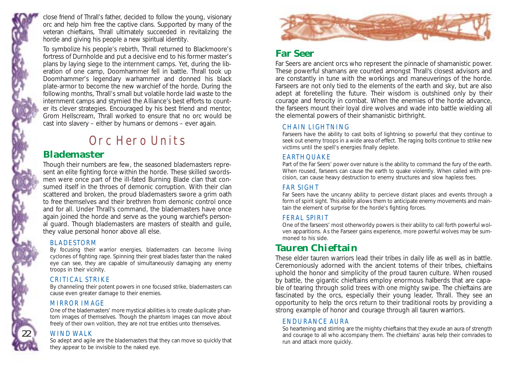close friend of Thrall's father, decided to follow the young, visionary orc and help him free the captive clans. Supported by many of the veteran chieftains, Thrall ultimately succeeded in revitalizing the horde and giving his people a new spiritual identity.

To symbolize his people's rebirth, Thrall returned to Blackmoore's fortress of Durnholde and put a decisive end to his former master's plans by laying siege to the internment camps. Yet, during the liberation of one camp, Doomhammer fell in battle. Thrall took up Doomhammer's legendary warhammer and donned his black plate-armor to become the new warchief of the horde. During the following months, Thrall's small but volatile horde laid waste to the internment camps and stymied the Alliance's best efforts to counter its clever strategies. Encouraged by his best friend and mentor, Grom Hellscream, Thrall worked to ensure that no orc would be cast into slavery – either by humans or demons – ever again.

## Orc Hero Units

#### **Blademaster**

Though their numbers are few, the seasoned blademasters represent an elite fighting force within the horde. These skilled swordsmen were once part of the ill-fated Burning Blade clan that consumed itself in the throes of demonic corruption. With their clan scattered and broken, the proud blademasters swore a grim oath to free themselves and their brethren from demonic control once and for all. Under Thrall's command, the blademasters have once again joined the horde and serve as the young warchief's personal guard. Though blademasters are masters of stealth and guile, they value personal honor above all else.

#### BLADESTORM

By focusing their warrior energies, blademasters can become living cyclones of fighting rage. Spinning their great blades faster than the naked eye can see, they are capable of simultaneously damaging any enemy troops in their vicinity.

#### CRITICAL STRIKE

By channeling their potent powers in one focused strike, blademasters can cause even greater damage to their enemies.

#### MIRROR IMAGE

One of the blademasters' more mystical abilities is to create duplicate phantom images of themselves. Though the phantom images can move about freely of their own volition, they are not true entities unto themselves.

#### WIND WALK

22

So adept and agile are the blademasters that they can move so quickly that they appear to be invisible to the naked eye.



### **Far Seer**

Far Seers are ancient orcs who represent the pinnacle of shamanistic power. These powerful shamans are counted amongst Thrall's closest advisors and are constantly in tune with the workings and maneuverings of the horde. Farseers are not only tied to the elements of the earth and sky, but are also adept at foretelling the future. Their wisdom is outshined only by their courage and ferocity in combat. When the enemies of the horde advance, the farseers mount their loyal dire wolves and wade into battle wielding all the elemental powers of their shamanistic birthright.

#### CHAIN LIGHTNING

Farseers have the ability to cast bolts of lightning so powerful that they continue to seek out enemy troops in a wide area of effect. The raging bolts continue to strike new victims until the spell's energies finally deplete.

#### **EARTHOUAKE**

Part of the Far Seers' power over nature is the ability to command the fury of the earth. When roused, farseers can cause the earth to quake violently. When called with precision, can cause heavy destruction to enemy structures and slow hapless foes.

#### FAR SIGHT

Far Seers have the uncanny ability to percieve distant places and events through a form of spirit sight. This ability allows them to anticipate enemy movements and maintain the element of surprise for the horde's fighting forces.

#### FERAL SPIRIT

One of the farseers' most otherworldy powers is their ability to call forth powerful wolven apparitions. As the Farseer gains experience, more powerful wolves may be summoned to his side.

### **Tauren Chieftain**

These elder tauren warriors lead their tribes in daily life as well as in battle. Ceremoniously adorned with the ancient totems of their tribes, chieftains uphold the honor and simplicity of the proud tauren culture. When roused by battle, the gigantic chieftains employ enormous halberds that are capable of tearing through solid trees with one mighty swipe. The chieftains are fascinated by the orcs, especially their young leader, Thrall. They see an opportunity to help the orcs return to their traditional roots by providing a strong example of honor and courage through all tauren warriors.

#### ENDURANCE AURA

So heartening and stirring are the mighty chieftains that they exude an aura of strength and courage to all who accompany them. The chieftains' auras help their comrades to run and attack more quickly.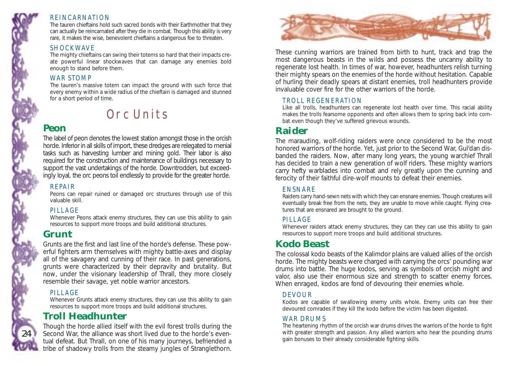#### REINCARNATION

The tauren chieftains hold such sacred bonds with their Earthmother that they can actually be reincarnated after they die in combat. Though this ability is very rare, it makes the wise, benevolent chieftains a dangerous foe to threaten.

#### SHOCKWAVE

The mighty chieftains can swing their totems so hard that their impacts create powerful linear shockwaves that can damage any enemies bold enough to stand before them.

#### WAR STOMP

The tauren's massive totem can impact the ground with such force that every enemy within a wide radius of the chieftain is damaged and stunned for a short period of time.

## Orc Units

#### **Peon**

The label of peon denotes the lowest station amongst those in the orcish horde. Inferior in all skills of import, these dredges are relegated to menial tasks such as harvesting lumber and mining gold. Their labor is also required for the construction and maintenance of buildings necessary to support the vast undertakings of the horde. Downtrodden, but exceedingly loyal, the orc peons toil endlessly to provide for the greater horde.

#### REPAIR

Peons can repair ruined or damaged orc structures through use of this valuable skill.

#### PILLAGE

Whenever Peons attack enemy structures, they can use this ability to gain resources to support more troops and build additional structures.

### **Grunt**

Grunts are the first and last line of the horde's defense. These powerful fighters arm themselves with mighty battle-axes and display all of the savagery and cunning of their race. In past generations, grunts were characterized by their depravity and brutality. But now, under the visionary leadership of Thrall, they more closely resemble their savage, yet noble warrior ancestors.

#### **PILLAGE**

24

Whenever Grunts attack enemy structures, they can use this ability to gain resources to support more troops and build additional structures.

### **Troll Headhunter**

Though the horde allied itself with the evil forest trolls during the Second War, the alliance was short lived due to the horde's eventual defeat. But Thrall, on one of his many journeys, befriended a tribe of shadowy trolls from the steamy jungles of Stranglethorn.



These cunning warriors are trained from birth to hunt, track and trap the most dangerous beasts in the wilds and possess the uncanny ability to regenerate lost health. In times of war, however, headhunters relish turning their mighty spears on the enemies of the horde without hesitation. Capable of hurling their deadly spears at distant enemies, troll headhunters provide invaluable cover fire for the other warriors of the horde.

#### TROLL REGENERATION

Like all trolls, headhunters can regenerate lost health over time. This racial ability makes the trolls fearsome opponents and often allows them to spring back into combat even though they've suffered grievous wounds.

### **Raider**

The marauding, wolf-riding raiders were once considered to be the most honored warriors of the horde. Yet, just prior to the Second War, Gul'dan disbanded the raiders. Now, after many long years, the young warchief Thrall has decided to train a new generation of wolf riders. These mighty warriors carry hefty warblades into combat and rely greatly upon the cunning and ferocity of their faithful dire-wolf mounts to defeat their enemies.

#### ENSNARE

Raiders carry hand-sewn nets with which they can ensnare enemies. Though creatures will eventually break free from the nets, they are unable to move while caught. Flying creatures that are ensnared are brought to the ground.

#### PILLAGE

Whenever raiders attack enemy structures, they can they can use this ability to gain resources to support more troops and build additional structures.

#### **Kodo Beast**

The colossal kodo beasts of the Kalimdor plains are valued allies of the orcish horde. The mighty beasts were charged with carrying the orcs' pounding war drums into battle. The huge kodos, serving as symbols of orcish might and valor, also use their enormous size and strength to scatter enemy forces. When enraged, kodos are fond of devouring their enemies whole.

#### **DEVOUR**

Kodos are capable of swallowing enemy units whole. Enemy units can free their devoured comrades if they kill the kodo before the victim has been digested.

#### WAR DRUMS

The heartening rhythm of the orcish war drums drives the warriors of the horde to fight with greater strength and passion. Any allied warriors who hear the pounding drums gain bonuses to their already considerable fighting skills.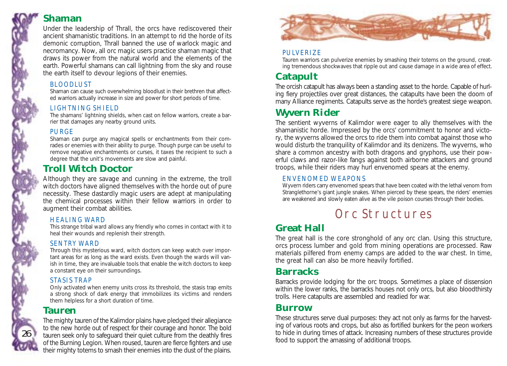### **Shaman**

Under the leadership of Thrall, the orcs have rediscovered their ancient shamanistic traditions. In an attempt to rid the horde of its demonic corruption, Thrall banned the use of warlock magic and necromancy. Now, all orc magic users practice shaman magic that draws its power from the natural world and the elements of the earth. Powerful shamans can call lightning from the sky and rouse the earth itself to devour legions of their enemies.

#### **BLOODLUST**

Shaman can cause such overwhelming bloodlust in their brethren that affected warriors actually increase in size and power for short periods of time.

#### LIGHTNING SHIELD

The shamans' lightning shields, when cast on fellow warriors, create a barrier that damages any nearby ground units.

#### PURGE

 Shaman can purge any magical spells or enchantments from their comrades or enemies with their ability to purge. Though purge can be useful to remove negative enchantments or curses, it taxes the recipient to such a degree that the unit's movements are slow and painful.

### **Troll Witch Doctor**

Although they are savage and cunning in the extreme, the troll witch doctors have aligned themselves with the horde out of pure necessity. These dastardly magic users are adept at manipulating the chemical processes within their fellow warriors in order to augment their combat abilities.

#### HEALING WARD

This strange tribal ward allows any friendly who comes in contact with it to heal their wounds and replenish their strength.

#### SENTRY WARD

Through this mysterious ward, witch doctors can keep watch over important areas for as long as the ward exists. Even though the wards will vanish in time, they are invaluable tools that enable the witch doctors to keep a constant eye on their surroundings.

#### STASIS TRAP

Only activated when enemy units cross its threshold, the stasis trap emits a strong shock of dark energy that immobilizes its victims and renders them helpless for a short duration of time.

### **Tauren**

26

The mighty tauren of the Kalimdor plains have pledged their allegiance to the new horde out of respect for their courage and honor. The bold tauren seek only to safeguard their quiet culture from the deathly fires of the Burning Legion. When roused, tauren are fierce fighters and use their mighty totems to smash their enemies into the dust of the plains.



#### **PULVERIZE**

Tauren warriors can pulverize enemies by smashing their totems on the ground, creating tremendous shockwaves that ripple out and cause damage in a wide area of effect.

### **Catapult**

The orcish catapult has always been a standing asset to the horde. Capable of hurling fiery projectiles over great distances, the catapults have been the doom of many Alliance regiments. Catapults serve as the horde's greatest siege weapon.

### **Wyvern Rider**

The sentient wyverns of Kalimdor were eager to ally themselves with the shamanistic horde. Impressed by the orcs' commitment to honor and victory, the wyverns allowed the orcs to ride them into combat against those who would disturb the tranquility of Kalimdor and its denizens. The wyverns, who share a common ancestry with both dragons and gryphons, use their powerful claws and razor-like fangs against both airborne attackers and ground troops, while their riders may hurl envenomed spears at the enemy.

#### ENVENOMED WEAPONS

Wyvern riders carry envenomed spears that have been coated with the lethal venom from Stranglethorne's giant jungle snakes. When pierced by these spears, the riders' enemies are weakened and slowly eaten alive as the vile poison courses through their bodies.

## Orc Structures

### **Great Hall**

The great hall is the core stronghold of any orc clan. Using this structure, orcs process lumber and gold from mining operations are processed. Raw materials pilfered from enemy camps are added to the war chest. In time, the great hall can also be more heavily fortified.

### **Barracks**

Barracks provide lodging for the orc troops. Sometimes a place of dissension within the lower ranks, the barracks houses not only orcs, but also bloodthirsty trolls. Here catapults are assembled and readied for war.

#### **Burrow**

These structures serve dual purposes: they act not only as farms for the harvesting of various roots and crops, but also as fortified bunkers for the peon workers to hide in during times of attack. Increasing numbers of these structures provide food to support the amassing of additional troops.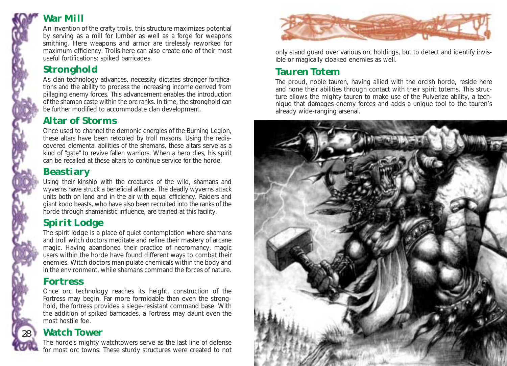### **War Mill**

An invention of the crafty trolls, this structure maximizes potential by serving as a mill for lumber as well as a forge for weapons smithing. Here weapons and armor are tirelessly reworked for maximum efficiency. Trolls here can also create one of their most useful fortifications: spiked barricades.

### **Stronghold**

As clan technology advances, necessity dictates stronger fortifications and the ability to process the increasing income derived from pillaging enemy forces. This advancement enables the introduction of the shaman caste within the orc ranks. In time, the stronghold can be further modified to accommodate clan development.

### **Altar of Storms**

Once used to channel the demonic energies of the Burning Legion, these altars have been retooled by troll masons. Using the rediscovered elemental abilities of the shamans, these altars serve as a kind of "gate" to revive fallen warriors. When a hero dies, his spirit can be recalled at these altars to continue service for the horde.

#### **Beastiary**

Using their kinship with the creatures of the wild, shamans and wyverns have struck a beneficial alliance. The deadly wyverns attack units both on land and in the air with equal efficiency. Raiders and giant kodo beasts, who have also been recruited into the ranks of the horde through shamanistic influence, are trained at this facility.

### **Spirit Lodge**

The spirit lodge is a place of quiet contemplation where shamans and troll witch doctors meditate and refine their mastery of arcane magic. Having abandoned their practice of necromancy, magic users within the horde have found different ways to combat their enemies. Witch doctors manipulate chemicals within the body and in the environment, while shamans command the forces of nature.

### **Fortress**

Once orc technology reaches its height, construction of the Fortress may begin. Far more formidable than even the stronghold, the fortress provides a siege-resistant command base. With the addition of spiked barricades, a Fortress may daunt even the most hostile foe.

#### **Watch Tower**

28

The horde's mighty watchtowers serve as the last line of defense for most orc towns. These sturdy structures were created to not



only stand guard over various orc holdings, but to detect and identify invisible or magically cloaked enemies as well.

#### **Tauren Totem**

The proud, noble tauren, having allied with the orcish horde, reside here and hone their abilities through contact with their spirit totems. This structure allows the mighty tauren to make use of the Pulverize ability, a technique that damages enemy forces and adds a unique tool to the tauren's already wide-ranging arsenal.

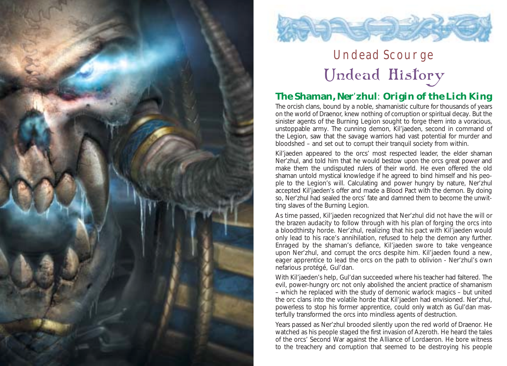



# Undead Scourge Undead History

### **The Shaman, Ner**'**zhul**: **Origin of the Lich King**

The orcish clans, bound by a noble, shamanistic culture for thousands of years on the world of Draenor, knew nothing of corruption or spiritual decay. But the sinister agents of the Burning Legion sought to forge them into a voracious, unstoppable army. The cunning demon, Kil'jaeden, second in command of the Legion, saw that the savage warriors had vast potential for murder and bloodshed – and set out to corrupt their tranquil society from within.

Kil'jaeden appeared to the orcs' most respected leader, the elder shaman Ner'zhul, and told him that he would bestow upon the orcs great power and make them the undisputed rulers of their world. He even offered the old shaman untold mystical knowledge if he agreed to bind himself and his people to the Legion's will. Calculating and power hungry by nature, Ner'zhul accepted Kil'jaeden's offer and made a Blood Pact with the demon. By doing so, Ner'zhul had sealed the orcs' fate and damned them to become the unwitting slaves of the Burning Legion.

As time passed, Kil'jaeden recognized that Ner'zhul did not have the will or the brazen audacity to follow through with his plan of forging the orcs into a bloodthirsty horde. Ner'zhul, realizing that his pact with Kil'jaeden would only lead to his race's annihilation, refused to help the demon any further. Enraged by the shaman's defiance, Kil'jaeden swore to take vengeance upon Ner'zhul, and corrupt the orcs despite him. Kil'jaeden found a new, eager apprentice to lead the orcs on the path to oblivion - Ner'zhul's own nefarious protégé, Gul'dan.

With Kil'jaeden's help, Gul'dan succeeded where his teacher had faltered. The evil, power-hungry orc not only abolished the ancient practice of shamanism – which he replaced with the study of demonic warlock magics – but united the orc clans into the volatile horde that Kil'jaeden had envisioned. Ner'zhul, powerless to stop his former apprentice, could only watch as Gul'dan masterfully transformed the orcs into mindless agents of destruction.

Years passed as Ner'zhul brooded silently upon the red world of Draenor. He watched as his people staged the first invasion of Azeroth. He heard the tales of the orcs' Second War against the Alliance of Lordaeron. He bore witness to the treachery and corruption that seemed to be destroying his people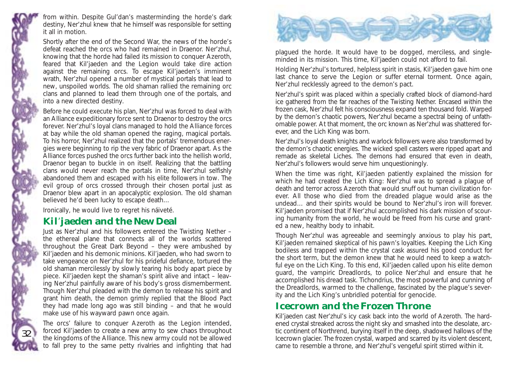from within. Despite Gul'dan's masterminding the horde's dark destiny, Ner'zhul knew that he himself was responsible for setting it all in motion.

Shortly after the end of the Second War, the news of the horde's defeat reached the orcs who had remained in Draenor. Ner'zhul, knowing that the horde had failed its mission to conquer Azeroth, feared that Kil'jaeden and the Legion would take dire action against the remaining orcs. To escape Kil'jaeden's imminent wrath, Ner'zhul opened a number of mystical portals that lead to new, unspoiled worlds. The old shaman rallied the remaining orc clans and planned to lead them through one of the portals, and into a new directed destiny.

Before he could execute his plan, Ner'zhul was forced to deal with an Alliance expeditionary force sent to Draenor to destroy the orcs forever. Ner'zhul's loyal clans managed to hold the Alliance forces at bay while the old shaman opened the raging, magical portals. To his horror, Ner'zhul realized that the portals' tremendous energies were beginning to rip the very fabric of Draenor apart. As the Alliance forces pushed the orcs further back into the hellish world, Draenor began to buckle in on itself. Realizing that the battling clans would never reach the portals in time, Ner'zhul selfishly abandoned them and escaped with his elite followers in tow. The evil group of orcs crossed through their chosen portal just as Draenor blew apart in an apocalyptic explosion. The old shaman believed he'd been lucky to escape death…

Ironically, he would live to regret his náiveté.

#### **Kil**'**jaeden and the New Deal**

32

Just as Ner'zhul and his followers entered the Twisting Nether – the ethereal plane that connects all of the worlds scattered throughout the Great Dark Beyond – they were ambushed by Kil'jaeden and his demonic minions. Kil'jaeden, who had sworn to take vengeance on Ner'zhul for his prideful defiance, tortured the old shaman mercilessly by slowly tearing his body apart piece by piece. Kil'jaeden kept the shaman's spirit alive and intact – leaving Ner'zhul painfully aware of his body's gross dismemberment. Though Ner'zhul pleaded with the demon to release his spirit and grant him death, the demon grimly replied that the Blood Pact they had made long ago was still binding – and that he would make use of his wayward pawn once again.

The orcs' failure to conquer Azeroth as the Legion intended, forced Kil'jaeden to create a new army to sew chaos throughout the kingdoms of the Alliance. This new army could not be allowed to fall prey to the same petty rivalries and infighting that had



plagued the horde. It would have to be dogged, merciless, and singleminded in its mission. This time, Kil'jaeden could not afford to fail.

Holding Ner'zhul's tortured, helpless spirit in stasis, Kil'jaeden gave him one last chance to serve the Legion or suffer eternal torment. Once again, Ner'zhul recklessly agreed to the demon's pact.

Ner'zhul's spirit was placed within a specially crafted block of diamond-hard ice gathered from the far reaches of the Twisting Nether. Encased within the frozen cask, Ner'zhul felt his consciousness expand ten thousand fold. Warped by the demon's chaotic powers, Ner'zhul became a spectral being of unfathomable power. At that moment, the orc known as Ner'zhul was shattered forever, and the Lich King was born.

Ner'zhul's loyal death knights and warlock followers were also transformed by the demon's chaotic energies. The wicked spell casters were ripped apart and remade as skeletal Liches. The demons had ensured that even in death, Ner'zhul's followers would serve him unquestioningly.

When the time was right, Kil'jaeden patiently explained the mission for which he had created the Lich King: Ner'zhul was to spread a plague of death and terror across Azeroth that would snuff out human civilization forever. All those who died from the dreaded plague would arise as the undead… and their spirits would be bound to Ner'zhul's iron will forever. Kil'jaeden promised that if Ner'zhul accomplished his dark mission of scouring humanity from the world, he would be freed from his curse and granted a new, healthy body to inhabit.

Though Ner'zhul was agreeable and seemingly anxious to play his part, Kil'jaeden remained skeptical of his pawn's loyalties. Keeping the Lich King bodiless and trapped within the crystal cask assured his good conduct for the short term, but the demon knew that he would need to keep a watchful eye on the Lich King. To this end, Kil'jaeden called upon his elite demon guard, the vampiric Dreadlords, to police Ner'zhul and ensure that he accomplished his dread task. Tichondrius, the most powerful and cunning of the Dreadlords, warmed to the challenge, fascinated by the plague's severity and the Lich King's unbridled potential for genocide.

#### **Icecrown and the Frozen Throne**

Kil'jaeden cast Ner'zhul's icy cask back into the world of Azeroth. The hardened crystal streaked across the night sky and smashed into the desolate, arctic continent of Northrend, burying itself in the deep, shadowed hallows of the Icecrown glacier. The frozen crystal, warped and scarred by its violent descent, came to resemble a throne, and Ner'zhul's vengeful spirit stirred within it.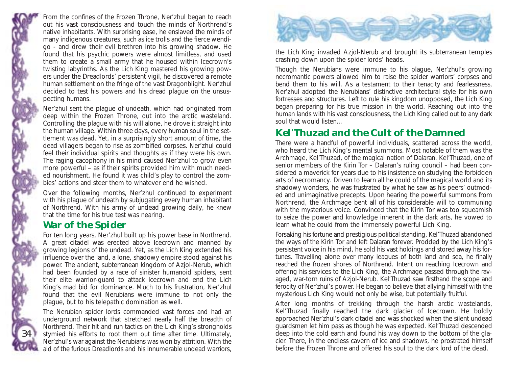From the confines of the Frozen Throne, Ner'zhul began to reach out his vast consciousness and touch the minds of Northrend's native inhabitants. With surprising ease, he enslaved the minds of many indigenous creatures, such as ice trolls and the fierce wendigo - and drew their evil brethren into his growing shadow. He found that his psychic powers were almost limitless, and used them to create a small army that he housed within Icecrown's twisting labyrinths. As the Lich King mastered his growing powers under the Dreadlords' persistent vigil, he discovered a remote human settlement on the fringe of the vast Dragonblight. Ner'zhul decided to test his powers and his dread plague on the unsuspecting humans.

Ner'zhul sent the plague of undeath, which had originated from deep within the Frozen Throne, out into the arctic wasteland. Controlling the plague with his will alone, he drove it straight into the human village. Within three days, every human soul in the settlement was dead. Yet, in a surprisingly short amount of time, the dead villagers began to rise as zombified corpses. Ner'zhul could feel their individual spirits and thoughts as if they were his own. The raging cacophony in his mind caused Ner'zhul to grow even more powerful – as if their spirits provided him with much needed nourishment. He found it was child's play to control the zombies' actions and steer them to whatever end he wished.

Over the following months, Ner'zhul continued to experiment with his plague of undeath by subjugating every human inhabitant of Northrend. With his army of undead growing daily, he knew that the time for his true test was nearing.

#### **War of the Spider**

34

For ten long years, Ner'zhul built up his power base in Northrend. A great citadel was erected above Icecrown and manned by growing legions of the undead. Yet, as the Lich King extended his influence over the land, a lone, shadowy empire stood against his power. The ancient, subterranean kingdom of Azjol-Nerub, which had been founded by a race of sinister humanoid spiders, sent their elite warrior-guard to attack Icecrown and end the Lich King's mad bid for dominance. Much to his frustration, Ner'zhul found that the evil Nerubians were immune to not only the plague, but to his telepathic domination as well.

The Nerubian spider lords commanded vast forces and had an underground network that stretched nearly half the breadth of Northrend. Their hit and run tactics on the Lich King's strongholds stymied his efforts to root them out time after time. Ultimately, Ner'zhul's war against the Nerubians was won by attrition. With the aid of the furious Dreadlords and his innumerable undead warriors,



the Lich King invaded Azjol-Nerub and brought its subterranean temples crashing down upon the spider lords' heads.

Though the Nerubians were immune to his plague, Ner'zhul's growing necromantic powers allowed him to raise the spider warriors' corpses and bend them to his will. As a testament to their tenacity and fearlessness, Ner'zhul adopted the Nerubians' distinctive architectural style for his own fortresses and structures. Left to rule his kingdom unopposed, the Lich King began preparing for his true mission in the world. Reaching out into the human lands with his vast consciousness, the Lich King called out to any dark soul that would listen...

#### **Kel**'**Thuzad and the Cult of the Damned**

There were a handful of powerful individuals, scattered across the world, who heard the Lich King's mental summons. Most notable of them was the Archmage, Kel'Thuzad, of the magical nation of Dalaran. Kel'Thuzad, one of senior members of the Kirin Tor – Dalaran's ruling council – had been considered a maverick for years due to his insistence on studying the forbidden arts of necromancy. Driven to learn all he could of the magical world and its shadowy wonders, he was frustrated by what he saw as his peers' outmoded and unimaginative precepts. Upon hearing the powerful summons from Northrend, the Archmage bent all of his considerable will to communing with the mysterious voice. Convinced that the Kirin Tor was too squeamish to seize the power and knowledge inherent in the dark arts, he vowed to learn what he could from the immensely powerful Lich King.

Forsaking his fortune and prestigious political standing, Kel'Thuzad abandoned the ways of the Kirin Tor and left Dalaran forever. Prodded by the Lich King's persistent voice in his mind, he sold his vast holdings and stored away his fortunes. Travelling alone over many leagues of both land and sea, he finally reached the frozen shores of Northrend. Intent on reaching Icecrown and offering his services to the Lich King, the Archmage passed through the ravaged, war-torn ruins of Azjol-Nerub. Kel'Thuzad saw firsthand the scope and ferocity of Ner'zhul's power. He began to believe that allying himself with the mysterious Lich King would not only be wise, but potentially fruitful.

After long months of trekking through the harsh arctic wastelands, Kel'Thuzad finally reached the dark glacier of Icecrown. He boldly approached Ner'zhul's dark citadel and was shocked when the silent undead guardsmen let him pass as though he was expected. Kel'Thuzad descended deep into the cold earth and found his way down to the bottom of the glacier. There, in the endless cavern of ice and shadows, he prostrated himself before the Frozen Throne and offered his soul to the dark lord of the dead.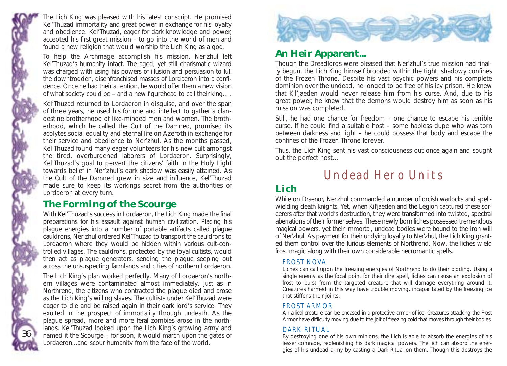The Lich King was pleased with his latest conscript. He promised Kel'Thuzad immortality and great power in exchange for his loyalty and obedience. Kel'Thuzad, eager for dark knowledge and power, accepted his first great mission – to go into the world of men and found a new religion that would worship the Lich King as a god.

To help the Archmage accomplish his mission, Ner'zhul left Kel'Thuzad's humanity intact. The aged, yet still charismatic wizard was charged with using his powers of illusion and persuasion to lull the downtrodden, disenfranchised masses of Lordaeron into a confidence. Once he had their attention, he would offer them a new vision of what society could be – and a new figurehead to call their king... .

Kel'Thuzad returned to Lordaeron in disguise, and over the span of three years, he used his fortune and intellect to gather a clandestine brotherhood of like-minded men and women. The brotherhood, which he called the Cult of the Damned, promised its acolytes social equality and eternal life on Azeroth in exchange for their service and obedience to Ner'zhul. As the months passed, Kel'Thuzad found many eager volunteers for his new cult amongst the tired, overburdened laborers of Lordaeron. Surprisingly, Kel'Thuzad's goal to pervert the citizens' faith in the Holy Light towards belief in Ner'zhul's dark shadow was easily attained. As the Cult of the Damned grew in size and influence, Kel'Thuzad made sure to keep its workings secret from the authorities of Lordaeron at every turn.

#### **The Forming of the Scourge**

36

With Kel'Thuzad's success in Lordaeron, the Lich King made the final preparations for his assault against human civilization. Placing his plague energies into a number of portable artifacts called plague cauldrons, Ner'zhul ordered Kel'Thuzad to transport the cauldrons to Lordaeron where they would be hidden within various cult-controlled villages. The cauldrons, protected by the loyal cultists, would then act as plague generators, sending the plague seeping out across the unsuspecting farmlands and cities of northern Lordaeron.

The Lich King's plan worked perfectly. Many of Lordaeron's northern villages were contaminated almost immediately. Just as in Northrend, the citizens who contracted the plague died and arose as the Lich King's willing slaves. The cultists under Kel'Thuzad were eager to die and be raised again in their dark lord's service. They exulted in the prospect of immortality through undeath. As the plague spread, more and more feral zombies arose in the northlands. Kel'Thuzad looked upon the Lich King's growing army and named it the Scourge – for soon, it would march upon the gates of Lordaeron...and scour humanity from the face of the world.



### **An Heir Apparent...**

Though the Dreadlords were pleased that Ner'zhul's true mission had finally begun, the Lich King himself brooded within the tight, shadowy confines of the Frozen Throne. Despite his vast psychic powers and his complete dominion over the undead, he longed to be free of his icy prison. He knew that Kil'jaeden would never release him from his curse. And, due to his great power, he knew that the demons would destroy him as soon as his mission was completed.

Still, he had one chance for freedom – one chance to escape his terrible curse. If he could find a suitable host – some hapless dupe who was torn between darkness and light – he could possess that body and escape the confines of the Frozen Throne forever.

Thus, the Lich King sent his vast consciousness out once again and sought out the perfect host…

## Undead Hero Units

#### **Lich**

While on Draenor, Ner'zhul commanded a number of orcish warlocks and spellwielding death knights. Yet, when Kil'jaeden and the Legion captured these sorcerers after that world's destruction, they were transformed into twisted, spectral aberrations of their former selves. These newly born liches possessed tremendous magical powers, yet their immortal, undead bodies were bound to the iron will of Ner'zhul. As payment for their undying loyalty to Ner'zhul, the Lich King granted them control over the furious elements of Northrend. Now, the liches wield frost magic along with their own considerable necromantic spells.

#### FROST NOVA

Liches can call upon the freezing energies of Northrend to do their bidding. Using a single enemy as the focal point for their dire spell, liches can cause an explosion of frost to burst from the targeted creature that will damage everything around it. Creatures harmed in this way have trouble moving, incapacitated by the freezing ice that stiffens their joints.

#### FROST ARMOR

An allied creature can be encased in a protective armor of ice. Creatures attacking the Frost Armor have difficulty moving due to the jolt of freezing cold that moves through their bodies.

#### DARK RITUAL

By destroying one of his own minions, the Lich is able to absorb the energies of his lesser comrade, replenishing his dark magical powers. The lich can absorb the energies of his undead army by casting a Dark Ritual on them. Though this destroys the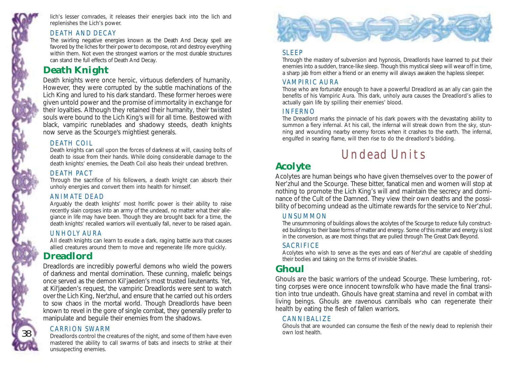

#### DEATH AND DECAY

The swirling negative energies known as the Death And Decay spell are favored by the liches for their power to decompose, rot and destroy everything within them. Not even the strongest warriors or the most durable structures can stand the full effects of Death And Decay.

### **Death Knight**

Death knights were once heroic, virtuous defenders of humanity. However, they were corrupted by the subtle machinations of the Lich King and lured to his dark standard. These former heroes were given untold power and the promise of immortality in exchange for their loyalties. Although they retained their humanity, their twisted souls were bound to the Lich King's will for all time. Bestowed with black, vampiric runeblades and shadowy steeds, death knights now serve as the Scourge's mightiest generals.

#### DEATH COIL

Death knights can call upon the forces of darkness at will, causing bolts of death to issue from their hands. While doing considerable damage to the death knights' enemies, the Death Coil also heals their undead brethren.

#### DEATH PACT

Through the sacrifice of his followers, a death knight can absorb their unholy energies and convert them into health for himself.

#### ANIMATE DEAD

Arguably the death knights' most horrific power is their ability to raise recently slain corpses into an army of the undead, no matter what their allegiance in life may have been. Though they are brought back for a time, the death knights' recalled warriors will eventually fall, never to be raised again.

#### UNHOLY AURA

All death knights can learn to exude a dark, raging battle aura that causes allied creatures around them to move and regenerate life more quickly.

#### **Dreadlord**

Dreadlords are incredibly powerful demons who wield the powers of darkness and mental domination. These cunning, malefic beings once served as the demon Kil'jaeden's most trusted lieutenants. Yet, at Kil'jaeden's request, the vampiric Dreadlords were sent to watch over the Lich King, Ner'zhul, and ensure that he carried out his orders to sow chaos in the mortal world. Though Dreadlords have been known to revel in the gore of single combat, they generally prefer to manipulate and beguile their enemies from the shadows.

#### CARRION SWARM

38

Dreadlords control the creatures of the night, and some of them have even mastered the ability to call swarms of bats and insects to strike at their unsuspecting enemies.



#### SLEEP

Through the mastery of subversion and hypnosis, Dreadlords have learned to put their enemies into a sudden, trance-like sleep. Though this mystical sleep will wear off in time, a sharp jab from either a friend or an enemy will always awaken the hapless sleeper.

#### VAMPIRIC AURA

Those who are fortunate enough to have a powerful Dreadlord as an ally can gain the benefits of his Vampiric Aura. This dark, unholy aura causes the Dreadlord's allies to actually gain life by spilling their enemies' blood.

#### INFERNO

The Dreadlord marks the pinnacle of his dark powers with the devastating ability to summon a fiery infernal. At his call, the infernal will streak down from the sky, stunning and wounding nearby enemy forces when it crashes to the earth. The infernal, engulfed in searing flame, will then rise to do the dreadlord's bidding.

## Undead Units

### **Acolyte**

Acolytes are human beings who have given themselves over to the power of Ner'zhul and the Scourge. These bitter, fanatical men and women will stop at nothing to promote the Lich King's will and maintain the secrecy and dominance of the Cult of the Damned. They view their own deaths and the possibility of becoming undead as the ultimate rewards for the service to Ner'zhul.

#### **UNSUMMON**

The unsummoning of buildings allows the acolytes of the Scourge to reduce fully constructed buildings to their base forms of matter and energy. Some of this matter and energy is lost in the conversion, as are most things that are pulled through The Great Dark Beyond.

#### **SACRIFICE**

Acolytes who wish to serve as the eyes and ears of Ner'zhul are capable of shedding their bodies and taking on the forms of invisible Shades.

#### **Ghoul**

Ghouls are the basic warriors of the undead Scourge. These lumbering, rotting corpses were once innocent townsfolk who have made the final transition into true undeath. Ghouls have great stamina and revel in combat with living beings. Ghouls are ravenous cannibals who can regenerate their health by eating the flesh of fallen warriors.

#### CANNIBALIZE

Ghouls that are wounded can consume the flesh of the newly dead to replenish their own lost health.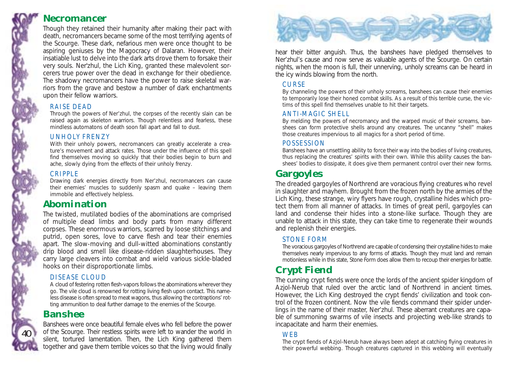#### **Necromancer**

Though they retained their humanity after making their pact with death, necromancers became some of the most terrifying agents of the Scourge. These dark, nefarious men were once thought to be aspiring geniuses by the Magocracy of Dalaran. However, their insatiable lust to delve into the dark arts drove them to forsake their very souls. Ner'zhul, the Lich King, granted these malevolent sorcerers true power over the dead in exchange for their obedience. The shadowy necromancers have the power to raise skeletal warriors from the grave and bestow a number of dark enchantments upon their fellow warriors.

#### RAISE DEAD

Through the powers of Ner'zhul, the corpses of the recently slain can be raised again as skeleton warriors. Though relentless and fearless, these mindless automatons of death soon fall apart and fall to dust.

#### UNHOLY FRENZY

With their unholy powers, necromancers can greatly accelerate a creature's movement and attack rates. Those under the influence of this spell find themselves moving so quickly that their bodies begin to burn and ache, slowly dying from the effects of their unholy frenzy.

#### CRIPPLE

Drawing dark energies directly from Ner'zhul, necromancers can cause their enemies' muscles to suddenly spasm and quake – leaving them immobile and effectively helpless.

#### **Abomination**

The twisted, mutilated bodies of the abominations are comprised of multiple dead limbs and body parts from many different corpses. These enormous warriors, scarred by loose stitchings and putrid, open sores, love to carve flesh and tear their enemies apart. The slow-moving and dull-witted abominations constantly drip blood and smell like disease-ridden slaughterhouses. They carry large cleavers into combat and wield various sickle-bladed hooks on their disproportionate limbs.

#### DISEASE CLOUD

A cloud of festering rotten flesh-vapors follows the abominations wherever they go. The vile cloud is renowned for rotting living flesh upon contact. This nameless disease is often spread to meat wagons, thus allowing the contraptions' rotting ammunition to deal further damage to the enemies of the Scourge.

#### **Banshee**

Banshees were once beautiful female elves who fell before the power of the Scourge. Their restless spirits were left to wander the world in silent, tortured lamentation. Then, the Lich King gathered them together and gave them terrible voices so that the living would finally 40

hear their bitter anguish. Thus, the banshees have pledged themselves to Ner'zhul's cause and now serve as valuable agents of the Scourge. On certain nights, when the moon is full, their unnerving, unholy screams can be heard in the icy winds blowing from the north.

#### **CURSE**

By channeling the powers of their unholy screams, banshees can cause their enemies to temporarily lose their honed combat skills. As a result of this terrible curse, the victims of this spell find themselves unable to hit their targets.

#### ANTI-MAGIC SHELL

By melding the powers of necromancy and the warped music of their screams, banshees can form protective shells around any creatures. The uncanny "shell" makes those creatures impervious to all magics for a short period of time.

#### POSSESSION

Banshees have an unsettling ability to force their way into the bodies of living creatures, thus replacing the creatures' spirits with their own. While this ability causes the banshees' bodies to dissipate, it does give them permanent control over their new forms.

### **Gargoyles**

The dreaded gargoyles of Northrend are voracious flying creatures who revel in slaughter and mayhem. Brought from the frozen north by the armies of the Lich King, these strange, wiry flyers have rough, crystalline hides which protect them from all manner of attacks. In times of great peril, gargoyles can land and condense their hides into a stone-like surface. Though they are unable to attack in this state, they can take time to regenerate their wounds and replenish their energies.

#### STONE FORM

The voracious gargoyles of Northrend are capable of condensing their crystalline hides to make themselves nearly impervious to any forms of attacks. Though they must land and remain motionless while in this state, Stone Form does allow them to recoup their energies for battle.

### **Crypt Fiend**

The cunning crypt fiends were once the lords of the ancient spider kingdom of Azjol-Nerub that ruled over the arctic land of Northrend in ancient times. However, the Lich King destroyed the crypt fiends' civilization and took control of the frozen continent. Now the vile fiends command their spider underlings in the name of their master, Ner'zhul. These aberrant creatures are capable of summoning swarms of vile insects and projecting web-like strands to incapacitate and harm their enemies.

#### **WEB**

The crypt fiends of Azjol-Nerub have always been adept at catching flying creatures in their powerful webbing. Though creatures captured in this webbing will eventually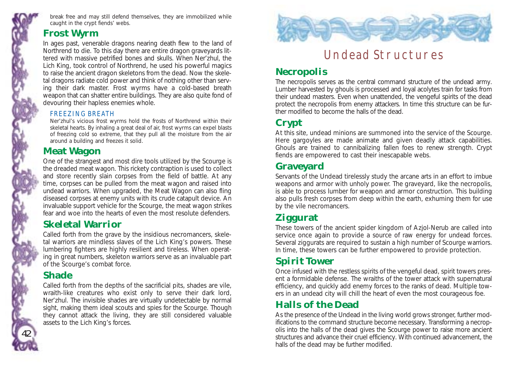break free and may still defend themselves, they are immobilized while caught in the crypt fiends' webs.

#### **Frost Wyrm**

In ages past, venerable dragons nearing death flew to the land of Northrend to die. To this day there are entire dragon graveyards littered with massive petrified bones and skulls. When Ner'zhul, the Lich King, took control of Northrend, he used his powerful magics to raise the ancient dragon skeletons from the dead. Now the skeletal dragons radiate cold power and think of nothing other than serving their dark master. Frost wyrms have a cold-based breath weapon that can shatter entire buildings. They are also quite fond of devouring their hapless enemies whole.

#### FREEZING BREATH

Ner'zhul's vicious frost wyrms hold the frosts of Northrend within their skeletal hearts. By inhaling a great deal of air, frost wyrms can expel blasts of freezing cold so extreme, that they pull all the moisture from the air around a building and freezes it solid.

### **Meat Wagon**

One of the strangest and most dire tools utilized by the Scourge is the dreaded meat wagon. This rickety contraption is used to collect and store recently slain corpses from the field of battle. At any time, corpses can be pulled from the meat wagon and raised into undead warriors. When upgraded, the Meat Wagon can also fling diseased corpses at enemy units with its crude catapult device. An invaluable support vehicle for the Scourge, the meat wagon strikes fear and woe into the hearts of even the most resolute defenders.

#### **Skeletal Warrior**

Called forth from the grave by the insidious necromancers, skeletal warriors are mindless slaves of the Lich King's powers. These lumbering fighters are highly resilient and tireless. When operating in great numbers, skeleton warriors serve as an invaluable part of the Scourge's combat force.

### **Shade**

42

Called forth from the depths of the sacrificial pits, shades are vile, wraith-like creatures who exist only to serve their dark lord, Ner'zhul. The invisible shades are virtually undetectable by normal sight, making them ideal scouts and spies for the Scourge. Though they cannot attack the living, they are still considered valuable assets to the Lich King's forces.



## Undead Structures

### **Necropolis**

The necropolis serves as the central command structure of the undead army. Lumber harvested by ghouls is processed and loyal acolytes train for tasks from their undead masters. Even when unattended, the vengeful spirits of the dead protect the necropolis from enemy attackers. In time this structure can be further modified to become the halls of the dead.

### **Crypt**

At this site, undead minions are summoned into the service of the Scourge. Here gargoyles are made animate and given deadly attack capabilities. Ghouls are trained to cannibalizing fallen foes to renew strength. Crypt fiends are empowered to cast their inescapable webs.

#### **Graveyard**

Servants of the Undead tirelessly study the arcane arts in an effort to imbue weapons and armor with unholy power. The graveyard, like the necropolis, is able to process lumber for weapon and armor construction. This building also pulls fresh corpses from deep within the earth, exhuming them for use by the vile necromancers.

### **Ziggurat**

These towers of the ancient spider kingdom of Azjol-Nerub are called into service once again to provide a source of raw energy for undead forces. Several ziggurats are required to sustain a high number of Scourge warriors. In time, these towers can be further empowered to provide protection.

### **Spirit Tower**

Once infused with the restless spirits of the vengeful dead, spirit towers present a formidable defense. The wraiths of the tower attack with supernatural efficiency, and quickly add enemy forces to the ranks of dead. Multiple towers in an undead city will chill the heart of even the most courageous foe.

#### **Halls of the Dead**

As the presence of the Undead in the living world grows stronger, further modifications to the command structure become necessary. Transforming a necropolis into the halls of the dead gives the Scourge power to raise more ancient structures and advance their cruel efficiency. With continued advancement, the halls of the dead may be further modified.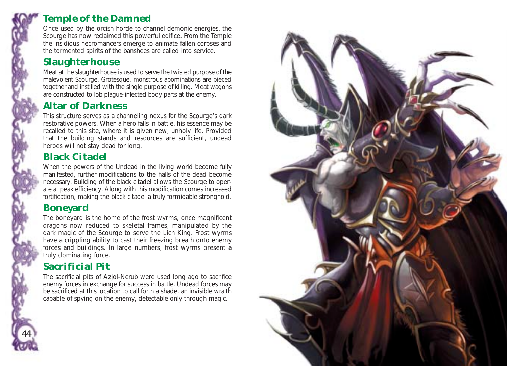### **Temple of the Damned**

Once used by the orcish horde to channel demonic energies, the Scourge has now reclaimed this powerful edifice. From the Temple the insidious necromancers emerge to animate fallen corpses and the tormented spirits of the banshees are called into service.

### **Slaughterhouse**

Meat at the slaughterhouse is used to serve the twisted purpose of the malevolent Scourge. Grotesque, monstrous abominations are pieced together and instilled with the single purpose of killing. Meat wagons are constructed to lob plague-infected body parts at the enemy.

### **Altar of Darkness**

This structure serves as a channeling nexus for the Scourge's dark restorative powers. When a hero falls in battle, his essence may be recalled to this site, where it is given new, unholy life. Provided that the building stands and resources are sufficient, undead heroes will not stay dead for long.

### **Black Citadel**

When the powers of the Undead in the living world become fully manifested, further modifications to the halls of the dead become necessary. Building of the black citadel allows the Scourge to operate at peak efficiency. Along with this modification comes increased fortification, making the black citadel a truly formidable stronghold.

### **Boneyard**

The boneyard is the home of the frost wyrms, once magnificent dragons now reduced to skeletal frames, manipulated by the dark magic of the Scourge to serve the Lich King. Frost wyrms have a crippling ability to cast their freezing breath onto enemy forces and buildings. In large numbers, frost wyrms present a truly dominating force.

### **Sacrificial Pit**

44

The sacrificial pits of Azjol-Nerub were used long ago to sacrifice enemy forces in exchange for success in battle. Undead forces may be sacrificed at this location to call forth a shade, an invisible wraith capable of spying on the enemy, detectable only through magic.

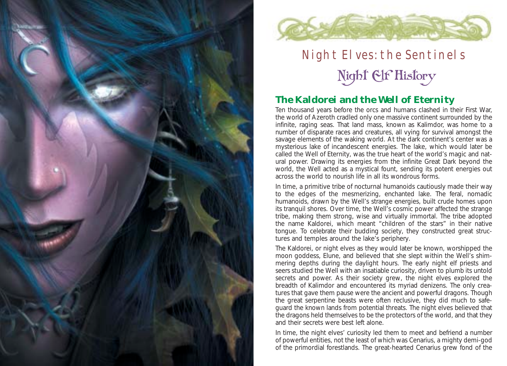



# Night Elves: the Sentinels Night Elf History

### **The Kaldorei and the Well of Eternity**

Ten thousand years before the orcs and humans clashed in their First War, the world of Azeroth cradled only one massive continent surrounded by the infinite, raging seas. That land mass, known as Kalimdor, was home to a number of disparate races and creatures, all vying for survival amongst the savage elements of the waking world. At the dark continent's center was a mysterious lake of incandescent energies. The lake, which would later be called the Well of Eternity, was the true heart of the world's magic and natural power. Drawing its energies from the infinite Great Dark beyond the world, the Well acted as a mystical fount, sending its potent energies out across the world to nourish life in all its wondrous forms.

In time, a primitive tribe of nocturnal humanoids cautiously made their way to the edges of the mesmerizing, enchanted lake. The feral, nomadic humanoids, drawn by the Well's strange energies, built crude homes upon its tranquil shores. Over time, the Well's cosmic power affected the strange tribe, making them strong, wise and virtually immortal. The tribe adopted the name Kaldorei, which meant "children of the stars" in their native tongue. To celebrate their budding society, they constructed great structures and temples around the lake's periphery.

The Kaldorei, or night elves as they would later be known, worshipped the moon goddess, Elune, and believed that she slept within the Well's shimmering depths during the daylight hours. The early night elf priests and seers studied the Well with an insatiable curiosity, driven to plumb its untold secrets and power. As their society grew, the night elves explored the breadth of Kalimdor and encountered its myriad denizens. The only creatures that gave them pause were the ancient and powerful dragons. Though the great serpentine beasts were often reclusive, they did much to safeguard the known lands from potential threats. The night elves believed that the dragons held themselves to be the protectors of the world, and that they and their secrets were best left alone.

In time, the night elves' curiosity led them to meet and befriend a number of powerful entities, not the least of which was Cenarius, a mighty demi-god of the primordial forestlands. The great-hearted Cenarius grew fond of the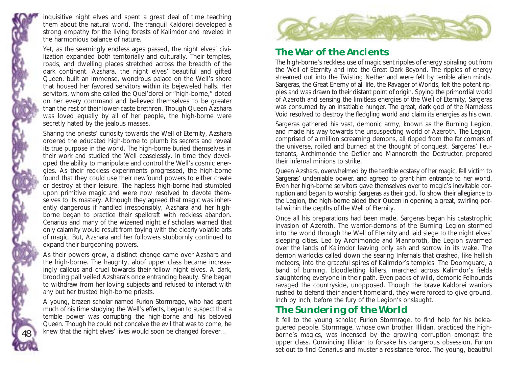inquisitive night elves and spent a great deal of time teaching them about the natural world. The tranquil Kaldorei developed a strong empathy for the living forests of Kalimdor and reveled in the harmonious balance of nature.

Yet, as the seemingly endless ages passed, the night elves' civilization expanded both territorially and culturally. Their temples, roads, and dwelling places stretched across the breadth of the dark continent. Azshara, the night elves' beautiful and gifted Queen, built an immense, wondrous palace on the Well's shore that housed her favored servitors within its bejeweled halls. Her servitors, whom she called the Quel'dorei or "high-borne," doted on her every command and believed themselves to be greater than the rest of their lower-caste brethren. Though Queen Azshara was loved equally by all of her people, the high-borne were secretly hated by the jealous masses.

Sharing the priests' curiosity towards the Well of Eternity, Azshara ordered the educated high-borne to plumb its secrets and reveal its true purpose in the world. The high-borne buried themselves in their work and studied the Well ceaselessly. In time they developed the ability to manipulate and control the Well's cosmic energies. As their reckless experiments progressed, the high-borne found that they could use their newfound powers to either create or destroy at their leisure. The hapless high-borne had stumbled upon primitive magic and were now resolved to devote themselves to its mastery. Although they agreed that magic was inherently dangerous if handled irresponsibly, Azshara and her highborne began to practice their spellcraft with reckless abandon. Cenarius and many of the wizened night elf scholars warned that only calamity would result from toying with the clearly volatile arts of magic. But, Azshara and her followers stubbornly continued to expand their burgeoning powers.

As their powers grew, a distinct change came over Azshara and the high-borne. The haughty, aloof upper class became increasingly callous and cruel towards their fellow night elves. A dark, brooding pall veiled Azshara's once entrancing beauty. She began to withdraw from her loving subjects and refused to interact with any but her trusted high-borne priests.

A young, brazen scholar named Furion Stormrage, who had spent much of his time studying the Well's effects, began to suspect that a terrible power was corrupting the high-borne and his beloved Queen. Though he could not conceive the evil that was to come, he knew that the night elves' lives would soon be changed forever...



#### **The War of the Ancients**

The high-borne's reckless use of magic sent ripples of energy spiraling out from the Well of Eternity and into the Great Dark Beyond. The ripples of energy streamed out into the Twisting Nether and were felt by terrible alien minds. Sargeras, the Great Enemy of all life, the Ravager of Worlds, felt the potent ripples and was drawn to their distant point of origin. Spying the primordial world of Azeroth and sensing the limitless energies of the Well of Eternity, Sargeras was consumed by an insatiable hunger. The great, dark god of the Nameless Void resolved to destroy the fledgling world and claim its energies as his own.

Sargeras gathered his vast, demonic army, known as the Burning Legion, and made his way towards the unsuspecting world of Azeroth. The Legion, comprised of a million screaming demons, all ripped from the far corners of the universe, roiled and burned at the thought of conquest. Sargeras' lieutenants, Archimonde the Defiler and Mannoroth the Destructor, prepared their infernal minions to strike.

Queen Azshara, overwhelmed by the terrible ecstasy of her magic, fell victim to Sargeras' undeniable power, and agreed to grant him entrance to her world. Even her high-borne servitors gave themselves over to magic's inevitable corruption and began to worship Sargeras as their god. To show their allegiance to the Legion, the high-borne aided their Queen in opening a great, swirling portal within the depths of the Well of Eternity.

Once all his preparations had been made, Sargeras began his catastrophic invasion of Azeroth. The warrior-demons of the Burning Legion stormed into the world through the Well of Eternity and laid siege to the night elves' sleeping cities. Led by Archimonde and Mannoroth, the Legion swarmed over the lands of Kalimdor leaving only ash and sorrow in its wake. The demon warlocks called down the searing Infernals that crashed, like hellish meteors, into the graceful spires of Kalimdor's temples. The Doomguard, a band of burning, bloodletting killers, marched across Kalimdor's fields slaughtering everyone in their path. Even packs of wild, demonic Felhounds ravaged the countryside, unopposed. Though the brave Kaldorei warriors rushed to defend their ancient homeland, they were forced to give ground, inch by inch, before the fury of the Legion's onslaught.

### **The Sundering of the World**

It fell to the young scholar, Furion Stormrage, to find help for his beleaguered people. Stormrage, whose own brother, Illidan, practiced the highborne's magics, was incensed by the growing corruption amongst the upper class. Convincing Illidan to forsake his dangerous obsession, Furion set out to find Cenarius and muster a resistance force. The young, beautiful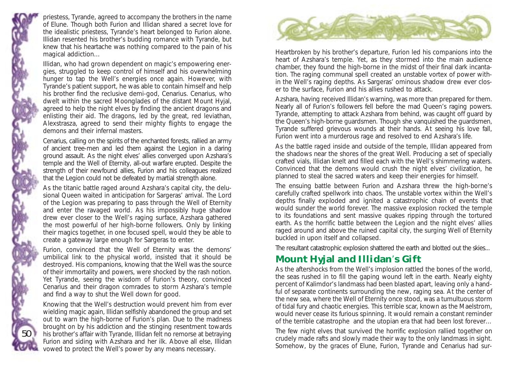priestess, Tyrande, agreed to accompany the brothers in the name of Elune. Though both Furion and Illidan shared a secret love for the idealistic priestess, Tyrande's heart belonged to Furion alone. Illidan resented his brother's budding romance with Tyrande, but knew that his heartache was nothing compared to the pain of his magical addiction…

Illidan, who had grown dependent on magic's empowering energies, struggled to keep control of himself and his overwhelming hunger to tap the Well's energies once again. However, with Tyrande's patient support, he was able to contain himself and help his brother find the reclusive demi-god, Cenarius. Cenarius, who dwelt within the sacred Moonglades of the distant Mount Hyjal, agreed to help the night elves by finding the ancient dragons and enlisting their aid. The dragons, led by the great, red leviathan, Alexstrasza, agreed to send their mighty flights to engage the demons and their infernal masters.

Cenarius, calling on the spirits of the enchanted forests, rallied an army of ancient tree-men and led them against the Legion in a daring ground assault. As the night elves' allies converged upon Azshara's temple and the Well of Eternity, all-out warfare erupted. Despite the strength of their newfound allies, Furion and his colleagues realized that the Legion could not be defeated by martial strength alone.

As the titanic battle raged around Azshara's capital city, the delusional Queen waited in anticipation for Sargeras' arrival. The Lord of the Legion was preparing to pass through the Well of Eternity and enter the ravaged world. As his impossibly huge shadow drew ever closer to the Well's raging surface, Azshara gathered the most powerful of her high-borne followers. Only by linking their magics together, in one focused spell, would they be able to create a gateway large enough for Sargeras to enter.

Furion, convinced that the Well of Eternity was the demons' umbilical link to the physical world, insisted that it should be destroyed. His companions, knowing that the Well was the source of their immortality and powers, were shocked by the rash notion. Yet Tyrande, seeing the wisdom of Furion's theory, convinced Cenarius and their dragon comrades to storm Azshara's temple and find a way to shut the Well down for good.

Knowing that the Well's destruction would prevent him from ever wielding magic again, Illidan selfishly abandoned the group and set out to warn the high-borne of Furion's plan. Due to the madness brought on by his addiction and the stinging resentment towards his brother's affair with Tyrande, Illidan felt no remorse at betraying Furion and siding with Azshara and her ilk. Above all else, Illidan vowed to protect the Well's power by any means necessary.



Heartbroken by his brother's departure, Furion led his companions into the heart of Azshara's temple. Yet, as they stormed into the main audience chamber, they found the high-borne in the midst of their final dark incantation. The raging communal spell created an unstable vortex of power within the Well's raging depths. As Sargeras' ominous shadow drew ever closer to the surface, Furion and his allies rushed to attack.

Azshara, having received Illidan's warning, was more than prepared for them. Nearly all of Furion's followers fell before the mad Queen's raging powers. Tyrande, attempting to attack Azshara from behind, was caught off guard by the Queen's high-borne guardsmen. Though she vanquished the guardsmen, Tyrande suffered grievous wounds at their hands. At seeing his love fall, Furion went into a murderous rage and resolved to end Azshara's life.

As the battle raged inside and outside of the temple, Illidan appeared from the shadows near the shores of the great Well. Producing a set of specially crafted vials, Illidan knelt and filled each with the Well's shimmering waters. Convinced that the demons would crush the night elves' civilization, he planned to steal the sacred waters and keep their energies for himself.

The ensuing battle between Furion and Azshara threw the high-borne's carefully crafted spellwork into chaos. The unstable vortex within the Well's depths finally exploded and ignited a catastrophic chain of events that would sunder the world forever. The massive explosion rocked the temple to its foundations and sent massive quakes ripping through the tortured earth. As the horrific battle between the Legion and the night elves' allies raged around and above the ruined capital city, the surging Well of Eternity buckled in upon itself and collapsed.

The resultant catastrophic explosion shattered the earth and blotted out the skies...

### **Mount Hyjal and Illidan**'**s Gift**

As the aftershocks from the Well's implosion rattled the bones of the world, the seas rushed in to fill the gaping wound left in the earth. Nearly eighty percent of Kalimdor's landmass had been blasted apart, leaving only a handful of separate continents surrounding the new, raging sea. At the center of the new sea, where the Well of Eternity once stood, was a tumultuous storm of tidal fury and chaotic energies. This terrible scar, known as the Maelstrom, would never cease its furious spinning. It would remain a constant reminder of the terrible catastrophe and the utopian era that had been lost forever…

The few night elves that survived the horrific explosion rallied together on crudely made rafts and slowly made their way to the only landmass in sight. Somehow, by the graces of Elune, Furion, Tyrande and Cenarius had sur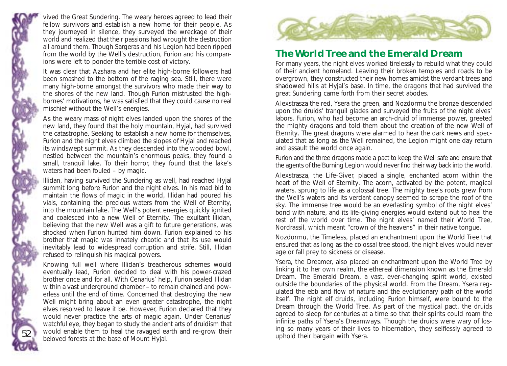vived the Great Sundering. The weary heroes agreed to lead their fellow survivors and establish a new home for their people. As they journeyed in silence, they surveyed the wreckage of their world and realized that their passions had wrought the destruction all around them. Though Sargeras and his Legion had been ripped from the world by the Well's destruction, Furion and his companions were left to ponder the terrible cost of victory.

It was clear that Azshara and her elite high-borne followers had been smashed to the bottom of the raging sea. Still, there were many high-borne amongst the survivors who made their way to the shores of the new land. Though Furion mistrusted the highbornes' motivations, he was satisfied that they could cause no real mischief without the Well's energies.

As the weary mass of night elves landed upon the shores of the new land, they found that the holy mountain, Hyjal, had survived the catastrophe. Seeking to establish a new home for themselves, Furion and the night elves climbed the slopes of Hyjal and reached its windswept summit. As they descended into the wooded bowl, nestled between the mountain's enormous peaks, they found a small, tranquil lake. To their horror, they found that the lake's waters had been fouled – by magic.

Illidan, having survived the Sundering as well, had reached Hyjal summit long before Furion and the night elves. In his mad bid to maintain the flows of magic in the world, Illidan had poured his vials, containing the precious waters from the Well of Eternity, into the mountain lake. The Well's potent energies quickly ignited and coalesced into a new Well of Eternity. The exultant Illidan, believing that the new Well was a gift to future generations, was shocked when Furion hunted him down. Furion explained to his brother that magic was innately chaotic and that its use would inevitably lead to widespread corruption and strife. Still, Illidan refused to relinquish his magical powers.

Knowing full well where Illidan's treacherous schemes would eventually lead, Furion decided to deal with his power-crazed brother once and for all. With Cenarius' help, Furion sealed Illidan within a vast underground chamber – to remain chained and powerless until the end of time. Concerned that destroying the new Well might bring about an even greater catastrophe, the night elves resolved to leave it be. However, Furion declared that they would never practice the arts of magic again. Under Cenarius' watchful eye, they began to study the ancient arts of druidism that would enable them to heal the ravaged earth and re-grow their 52 would enable them to heal the ravaged ease of Mount Hyjal.



#### **The World Tree and the Emerald Dream**

For many years, the night elves worked tirelessly to rebuild what they could of their ancient homeland. Leaving their broken temples and roads to be overgrown, they constructed their new homes amidst the verdant trees and shadowed hills at Hyjal's base. In time, the dragons that had survived the great Sundering came forth from their secret abodes.

Alexstrasza the red, Ysera the green, and Nozdormu the bronze descended upon the druids' tranquil glades and surveyed the fruits of the night elves' labors. Furion, who had become an arch-druid of immense power, greeted the mighty dragons and told them about the creation of the new Well of Eternity. The great dragons were alarmed to hear the dark news and speculated that as long as the Well remained, the Legion might one day return and assault the world once again.

Furion and the three dragons made a pact to keep the Well safe and ensure that the agents of the Burning Legion would never find their way back into the world.

Alexstrasza, the Life-Giver, placed a single, enchanted acorn within the heart of the Well of Eternity. The acorn, activated by the potent, magical waters, sprung to life as a colossal tree. The mighty tree's roots grew from the Well's waters and its verdant canopy seemed to scrape the roof of the sky. The immense tree would be an everlasting symbol of the night elves' bond with nature, and its life-giving energies would extend out to heal the rest of the world over time. The night elves' named their World Tree, Nordrassil, which meant "crown of the heavens" in their native tongue.

Nozdormu, the Timeless, placed an enchantment upon the World Tree that ensured that as long as the colossal tree stood, the night elves would never age or fall prey to sickness or disease.

Ysera, the Dreamer, also placed an enchantment upon the World Tree by linking it to her own realm, the ethereal dimension known as the Emerald Dream. The Emerald Dream, a vast, ever-changing spirit world, existed outside the boundaries of the physical world. From the Dream, Ysera regulated the ebb and flow of nature and the evolutionary path of the world itself. The night elf druids, including Furion himself, were bound to the Dream through the World Tree. As part of the mystical pact, the druids agreed to sleep for centuries at a time so that their spirits could roam the infinite paths of Ysera's Dreamways. Though the druids were wary of losing so many years of their lives to hibernation, they selflessly agreed to uphold their bargain with Ysera.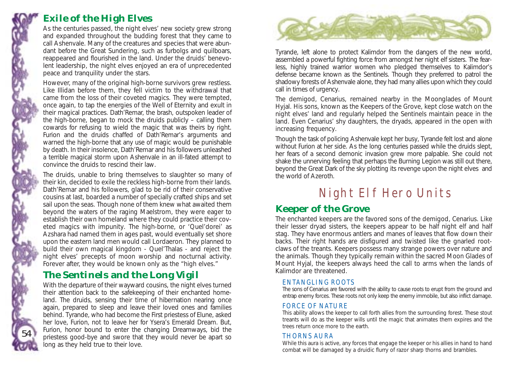### **Exile of the High Elves**

As the centuries passed, the night elves' new society grew strong and expanded throughout the budding forest that they came to call Ashenvale. Many of the creatures and species that were abundant before the Great Sundering, such as furbolgs and quilboars, reappeared and flourished in the land. Under the druids' benevolent leadership, the night elves enjoyed an era of unprecedented peace and tranquility under the stars.

However, many of the original high-borne survivors grew restless. Like Illidan before them, they fell victim to the withdrawal that came from the loss of their coveted magics. They were tempted, once again, to tap the energies of the Well of Eternity and exult in their magical practices. Dath'Remar, the brash, outspoken leader of the high-borne, began to mock the druids publicly – calling them cowards for refusing to wield the magic that was theirs by right. Furion and the druids chaffed of Dath'Remar's arguments and warned the high-borne that any use of magic would be punishable by death. In their insolence, Dath'Remar and his followers unleashed a terrible magical storm upon Ashenvale in an ill-fated attempt to convince the druids to rescind their law.

The druids, unable to bring themselves to slaughter so many of their kin, decided to exile the reckless high-borne from their lands. Dath'Remar and his followers, glad to be rid of their conservative cousins at last, boarded a number of specially crafted ships and set sail upon the seas. Though none of them knew what awaited them beyond the waters of the raging Maelstrom, they were eager to establish their own homeland where they could practice their coveted magics with impunity. The high-borne, or 'Quel'dorei' as Azshara had named them in ages past, would eventually set shore upon the eastern land men would call Lordaeron. They planned to build their own magical kingdom - Quel'Thalas - and reject the night elves' precepts of moon worship and nocturnal activity. Forever after, they would be known only as the "high elves."

### **The Sentinels and the Long Vigil**

54

With the departure of their wayward cousins, the night elves turned their attention back to the safekeeping of their enchanted homeland. The druids, sensing their time of hibernation nearing once again, prepared to sleep and leave their loved ones and families behind. Tyrande, who had become the First priestess of Elune, asked her love, Furion, not to leave her for Ysera's Emerald Dream. But, Furion, honor bound to enter the changing Dreamways, bid the priestess good-bye and swore that they would never be apart so long as they held true to their love.



Tyrande, left alone to protect Kalimdor from the dangers of the new world, assembled a powerful fighting force from amongst her night elf sisters. The fearless, highly trained warrior women who pledged themselves to Kalimdor's defense became known as the Sentinels. Though they preferred to patrol the shadowy forests of Ashenvale alone, they had many allies upon which they could call in times of urgency.

The demigod, Cenarius, remained nearby in the Moonglades of Mount Hyjal. His sons, known as the Keepers of the Grove, kept close watch on the night elves' land and regularly helped the Sentinels maintain peace in the land. Even Cenarius' shy daughters, the dryads, appeared in the open with increasing frequency.

Though the task of policing Ashenvale kept her busy, Tyrande felt lost and alone without Furion at her side. As the long centuries passed while the druids slept, her fears of a second demonic invasion grew more palpable. She could not shake the unnerving feeling that perhaps the Burning Legion was still out there, beyond the Great Dark of the sky plotting its revenge upon the night elves and the world of Azeroth.

## Night Elf Hero Units

### **Keeper of the Grove**

The enchanted keepers are the favored sons of the demigod, Cenarius. Like their lesser dryad sisters, the keepers appear to be half night elf and half stag. They have enormous antlers and manes of leaves that flow down their backs. Their right hands are disfigured and twisted like the gnarled rootclaws of the treants. Keepers possess many strange powers over nature and the animals. Though they typically remain within the sacred Moon Glades of Mount Hyjal, the keepers always heed the call to arms when the lands of Kalimdor are threatened.

#### ENTANGLING ROOTS

The sons of Cenarius are favored with the ability to cause roots to erupt from the ground and entrap enemy forces. These roots not only keep the enemy immobile, but also inflict damage.

#### FORCE OF NATURE

This ability allows the keeper to call forth allies from the surrounding forest. These stout treants will do as the keeper wills until the magic that animates them expires and the trees return once more to the earth.

#### THORNS AURA

While this aura is active, any forces that engage the keeper or his allies in hand to hand combat will be damaged by a druidic flurry of razor sharp thorns and brambles.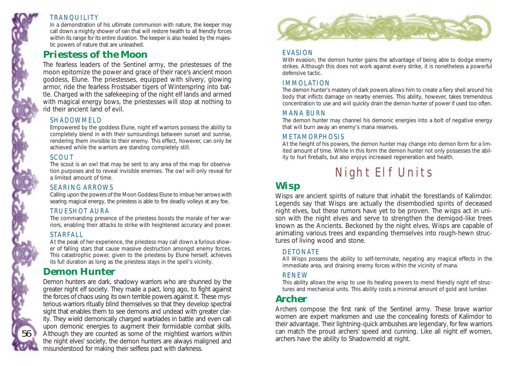#### TRANQUILITY

In a demonstration of his ultimate communion with nature, the keeper may call down a mighty shower of rain that will restore health to all friendly forces within its range for its entire duration. The keeper is also healed by the majestic powers of nature that are unleashed.

#### **Priestess of the Moon**

The fearless leaders of the Sentinel army, the priestesses of the moon epitomize the power and grace of their race's ancient moon goddess, Elune. The priestesses, equipped with silvery, glowing armor, ride the fearless Frostsaber tigers of Winterspring into battle. Charged with the safekeeping of the night elf lands and armed with magical energy bows, the priestesses will stop at nothing to rid their ancient land of evil.

#### SHADOWMELD

Empowered by the goddess Elune, night elf warriors possess the ability to completely blend in with their surroundings between sunset and sunrise, rendering them invisible to their enemy. This effect, however, can only be achieved while the warriors are standing completely still.

#### **SCOUT**

The scout is an owl that may be sent to any area of the map for observation purposes and to reveal invisible enemies. The owl will only reveal for a limited amount of time.

#### SEARING ARROWS

Calling upon the powers of the Moon Goddess Elune to imbue her arrows with searing magical energy, the priestess is able to fire deadly volleys at any foe.

#### TRUESHOT AURA

The commanding presence of the priestess boosts the morale of her warriors, enabling their attacks to strike with heightened accuracy and power.

#### STARFALL

56

At the peak of her experience, the priestess may call down a furious shower of falling stars that cause massive destruction amongst enemy forces. This catastrophic power, given to the priestess by Elune herself, achieves its full duration as long as the priestess stays in the spell's vicinity.

#### **Demon Hunter**

Demon hunters are dark, shadowy warriors who are shunned by the greater night elf society. They made a pact, long ago, to fight against the forces of chaos using its own terrible powers against it. These mysterious warriors ritually blind themselves so that they develop spectral sight that enables them to see demons and undead with greater clarity. They wield demonically charged warblades in battle and even call upon demonic energies to augment their formidable combat skills. Although they are counted as some of the mightiest warriors within the night elves' society, the demon hunters are always maligned and misunderstood for making their selfless pact with darkness.



#### EVASION

With evasion, the demon hunter gains the advantage of being able to dodge enemy strikes. Although this does not work against every strike, it is nonetheless a powerful defensive tactic.

#### IMMOLATION

The demon hunter's mastery of dark powers allows him to create a fiery shell around his body that inflicts damage on nearby enemies. This ability, however, takes tremendous concentration to use and will quickly drain the demon hunter of power if used too often.

#### MANA BURN

The demon hunter may channel his demonic energies into a bolt of negative energy that will burn away an enemy's mana reserves.

#### **METAMORPHOSIS**

At the height of his powers, the demon hunter may change into demon form for a limited amount of time. While in this form the demon hunter not only possesses the ability to hurl fireballs, but also enjoys increased regeneration and health.

## Night Elf Units

### **Wisp**

Wisps are ancient spirits of nature that inhabit the forestlands of Kalimdor. Legends say that Wisps are actually the disembodied spirits of deceased night elves, but these rumors have yet to be proven. The wisps act in unison with the night elves and serve to strengthen the demigod-like trees known as the Ancients. Beckoned by the night elves, Wisps are capable of animating various trees and expanding themselves into rough-hewn structures of living wood and stone.

#### **DETONATE**

All Wisps possess the ability to self-terminate, negating any magical effects in the immediate area, and draining enemy forces within the vicinity of mana.

#### RENEW

This ability allows the wisp to use its healing powers to mend friendly night elf structures and mechanical units. This ability costs a minimal amount of gold and lumber.

#### **Archer**

Archers compose the first rank of the Sentinel army. These brave warrior women are expert marksmen and use the concealing forests of Kalimdor to their advantage. Their lightning-quick ambushes are legendary, for few warriors can match the proud archers' speed and cunning. Like all night elf women, archers have the ability to Shadowmeld at night.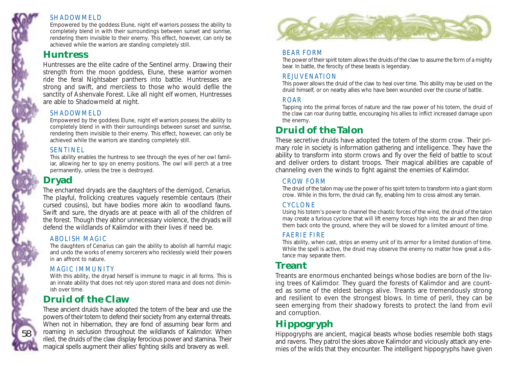#### SHADOWMELD

Empowered by the goddess Elune, night elf warriors possess the ability to completely blend in with their surroundings between sunset and sunrise, rendering them invisible to their enemy. This effect, however, can only be achieved while the warriors are standing completely still.

#### **Huntress**

Huntresses are the elite cadre of the Sentinel army. Drawing their strength from the moon goddess, Elune, these warrior women ride the feral Nightsaber panthers into battle. Huntresses are strong and swift, and merciless to those who would defile the sanctity of Ashenvale Forest. Like all night elf women, Huntresses are able to Shadowmeld at night.

#### SHADOWMELD

Empowered by the goddess Elune, night elf warriors possess the ability to completely blend in with their surroundings between sunset and sunrise, rendering them invisible to their enemy. This effect, however, can only be achieved while the warriors are standing completely still.

#### SENTINEL

This ability enables the huntress to see through the eyes of her owl familiar, allowing her to spy on enemy positions. The owl will perch at a tree permanently, unless the tree is destroyed.

#### **Dryad**

The enchanted dryads are the daughters of the demigod, Cenarius. The playful, frolicking creatures vaguely resemble centaurs (their cursed cousins), but have bodies more akin to woodland fauns. Swift and sure, the dryads are at peace with all of the children of the forest. Though they abhor unnecessary violence, the dryads will defend the wildlands of Kalimdor with their lives if need be.

#### ABOLISH MAGIC

The daughters of Cenarius can gain the ability to abolish all harmful magic and undo the works of enemy sorcerers who recklessly wield their powers in an affront to nature.

#### MAGIC IMMUNITY

With this ability, the dryad herself is immune to magic in all forms. This is an innate ability that does not rely upon stored mana and does not diminish over time.

### **Druid of the Claw**

These ancient druids have adopted the totem of the bear and use the powers of their totem to defend their society from any external threats. When not in hibernation, they are fond of assuming bear form and roaming in seclusion throughout the wildlands of Kalimdor. When riled, the druids of the claw display ferocious power and stamina. Their magical spells augment their allies' fighting skills and bravery as well.



#### BEAR FORM

The power of their spirit totem allows the druids of the claw to assume the form of a mighty bear. In battle, the ferocity of these beasts is legendary.

#### **REJUVENATION**

This power allows the druid of the claw to heal over time. This ability may be used on the druid himself, or on nearby allies who have been wounded over the course of battle.

#### ROAR

Tapping into the primal forces of nature and the raw power of his totem, the druid of the claw can roar during battle, encouraging his allies to inflict increased damage upon the enemy.

#### **Druid of the Talon**

These secretive druids have adopted the totem of the storm crow. Their primary role in society is information gathering and intelligence. They have the ability to transform into storm crows and fly over the field of battle to scout and deliver orders to distant troops. Their magical abilities are capable of channeling even the winds to fight against the enemies of Kalimdor.

#### CROW FORM

The druid of the talon may use the power of his spirit totem to transform into a giant storm crow. While in this form, the druid can fly, enabling him to cross almost any terrain.

#### **CYCLONE**

Using his totem's power to channel the chaotic forces of the wind, the druid of the talon may create a furious cyclone that will lift enemy forces high into the air and then drop them back onto the ground, where they will be slowed for a limited amount of time.

#### FAERIE FIRE

This ability, when cast, strips an enemy unit of its armor for a limited duration of time. While the spell is active, the druid may observe the enemy no matter how great a distance may separate them.

#### **Treant**

Treants are enormous enchanted beings whose bodies are born of the living trees of Kalimdor. They guard the forests of Kalimdor and are counted as some of the eldest beings alive. Treants are tremendously strong and resilient to even the strongest blows. In time of peril, they can be seen emerging from their shadowy forests to protect the land from evil and corruption.

### **Hippogryph**

Hippogryphs are ancient, magical beasts whose bodies resemble both stags and ravens. They patrol the skies above Kalimdor and viciously attack any enemies of the wilds that they encounter. The intelligent hippogryphs have given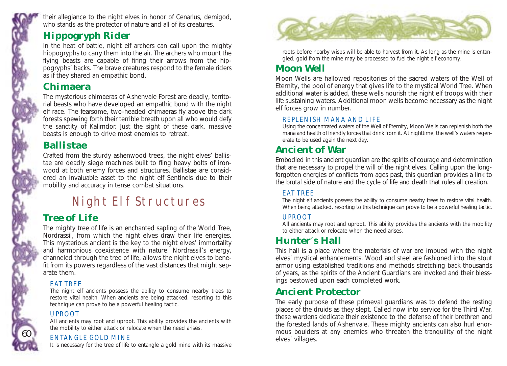their allegiance to the night elves in honor of Cenarius, demigod, who stands as the protector of nature and all of its creatures.

### **Hippogryph Rider**

In the heat of battle, night elf archers can call upon the mighty hippogryphs to carry them into the air. The archers who mount the flying beasts are capable of firing their arrows from the hippogryphs' backs. The brave creatures respond to the female riders as if they shared an empathic bond.

#### **Chimaera**

The mysterious chimaeras of Ashenvale Forest are deadly, territorial beasts who have developed an empathic bond with the night elf race. The fearsome, two-headed chimaeras fly above the dark forests spewing forth their terrible breath upon all who would defy the sanctity of Kalimdor. Just the sight of these dark, massive beasts is enough to drive most enemies to retreat.

### **Ballistae**

Crafted from the sturdy ashenwood trees, the night elves' ballistae are deadly siege machines built to fling heavy bolts of ironwood at both enemy forces and structures. Ballistae are considered an invaluable asset to the night elf Sentinels due to their mobility and accuracy in tense combat situations.

## Night Elf Structures

### **Tree of Life**

The mighty tree of life is an enchanted sapling of the World Tree, Nordrassil, from which the night elves draw their life energies. This mysterious ancient is the key to the night elves' immortality and harmonious coexistence with nature. Nordrassil's energy, channeled through the tree of life, allows the night elves to benefit from its powers regardless of the vast distances that might separate them.

#### EAT TREE

The night elf ancients possess the ability to consume nearby trees to restore vital health. When ancients are being attacked, resorting to this technique can prove to be a powerful healing tactic.

#### UPROOT

60

All ancients may root and uproot. This ability provides the ancients with the mobility to either attack or relocate when the need arises.

#### ENTANGLE GOLD MINE

It is necessary for the tree of life to entangle a gold mine with its massive



roots before nearby wisps will be able to harvest from it. As long as the mine is entangled, gold from the mine may be processed to fuel the night elf economy.

### **Moon Well**

Moon Wells are hallowed repositories of the sacred waters of the Well of Eternity, the pool of energy that gives life to the mystical World Tree. When additional water is added, these wells nourish the night elf troops with their life sustaining waters. Additional moon wells become necessary as the night elf forces grow in number.

#### REPLENISH MANA AND LIFE

Using the concentrated waters of the Well of Eternity, Moon Wells can replenish both the mana and health of friendly forces that drink from it. At nighttime, the well's waters regenerate to be used again the next day.

### **Ancient of War**

Embodied in this ancient guardian are the spirits of courage and determination that are necessary to propel the will of the night elves. Calling upon the longforgotten energies of conflicts from ages past, this guardian provides a link to the brutal side of nature and the cycle of life and death that rules all creation.

#### EAT TREE

The night elf ancients possess the ability to consume nearby trees to restore vital health. When being attacked, resorting to this technique can prove to be a powerful healing tactic.

#### UPROOT

All ancients may root and uproot. This ability provides the ancients with the mobility to either attack or relocate when the need arises.

### **Hunter**'**s Hall**

This hall is a place where the materials of war are imbued with the night elves' mystical enhancements. Wood and steel are fashioned into the stout armor using established traditions and methods stretching back thousands of years, as the spirits of the Ancient Guardians are invoked and their blessings bestowed upon each completed work.

#### **Ancient Protector**

The early purpose of these primeval guardians was to defend the resting places of the druids as they slept. Called now into service for the Third War, these wardens dedicate their existence to the defense of their brethren and the forested lands of Ashenvale. These mighty ancients can also hurl enormous boulders at any enemies who threaten the tranquility of the night elves' villages.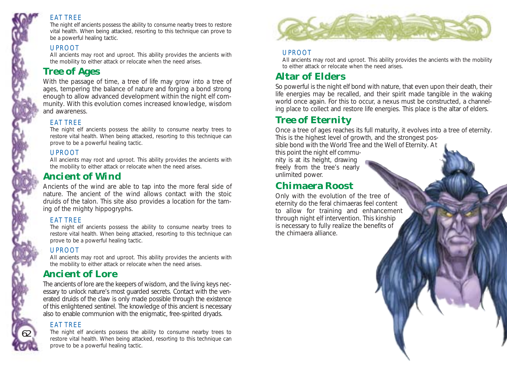#### EAT TREE

The night elf ancients possess the ability to consume nearby trees to restore vital health. When being attacked, resorting to this technique can prove to be a powerful healing tactic.

#### UPROOT

All ancients may root and uproot. This ability provides the ancients with the mobility to either attack or relocate when the need arises.

#### **Tree of Ages**

With the passage of time, a tree of life may grow into a tree of ages, tempering the balance of nature and forging a bond strong enough to allow advanced development within the night elf community. With this evolution comes increased knowledge, wisdom and awareness.

#### EAT TREE

The night elf ancients possess the ability to consume nearby trees to restore vital health. When being attacked, resorting to this technique can prove to be a powerful healing tactic.

#### UPROOT

All ancients may root and uproot. This ability provides the ancients with the mobility to either attack or relocate when the need arises.

### **Ancient of Wind**

Ancients of the wind are able to tap into the more feral side of nature. The ancient of the wind allows contact with the stoic druids of the talon. This site also provides a location for the taming of the mighty hippogryphs.

#### EAT TREE

The night elf ancients possess the ability to consume nearby trees to restore vital health. When being attacked, resorting to this technique can prove to be a powerful healing tactic.

#### UPROOT

All ancients may root and uproot. This ability provides the ancients with the mobility to either attack or relocate when the need arises.

### **Ancient of Lore**

The ancients of lore are the keepers of wisdom, and the living keys necessary to unlock nature's most guarded secrets. Contact with the venerated druids of the claw is only made possible through the existence of this enlightened sentinel. The knowledge of this ancient is necessary also to enable communion with the enigmatic, free-spirited dryads.

#### EAT TREE

62

The night elf ancients possess the ability to consume nearby trees to restore vital health. When being attacked, resorting to this technique can prove to be a powerful healing tactic.



#### UPROOT

All ancients may root and uproot. This ability provides the ancients with the mobility to either attack or relocate when the need arises.

### **Altar of Elders**

So powerful is the night elf bond with nature, that even upon their death, their life energies may be recalled, and their spirit made tangible in the waking world once again. For this to occur, a nexus must be constructed, a channeling place to collect and restore life energies. This place is the altar of elders.

### **Tree of Eternity**

Once a tree of ages reaches its full maturity, it evolves into a tree of eternity. This is the highest level of growth, and the strongest possible bond with the World Tree and the Well of Eternity. At this point the night elf community is at its height, drawing freely from the tree's nearly unlimited power.

### **Chimaera Roost**

Only with the evolution of the tree of eternity do the feral chimaeras feel content to allow for training and enhancement through night elf intervention. This kinship is necessary to fully realize the benefits of the chimaera alliance.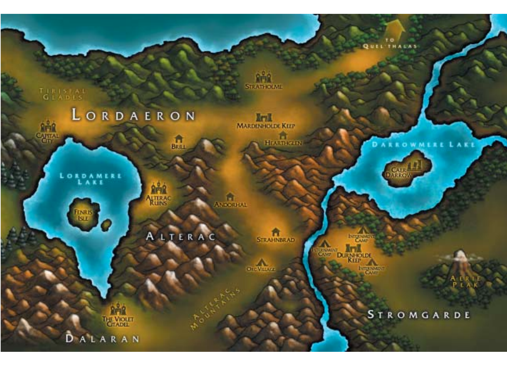QUEL THACAS 時 STRATHOLME  $\begin{array}{c} \mathsf{T} \downarrow \mathsf{R} \downarrow \mathsf{S} \mathsf{F} \mathsf{A} \mathsf{L} \\ \mathsf{G} \downarrow \mathsf{A} \mathsf{D} \mathsf{L} \mathsf{S} \end{array}$ LORDAERON **Mrill MARDENHOLDE KEEP HEATHCLE** Caime<br>City 矗 **DARROWMERE LAKE**  $6.925$ LORDAMERE **Artist KLIERA** ANDONHAL FR 1. ALTERAC STRAHNBRAD Control Despite **Baraton Co**  $\sum_{n=1}^{\infty}$ A<sup>0</sup>1 STROMGARDE THE VIOLET DALARAN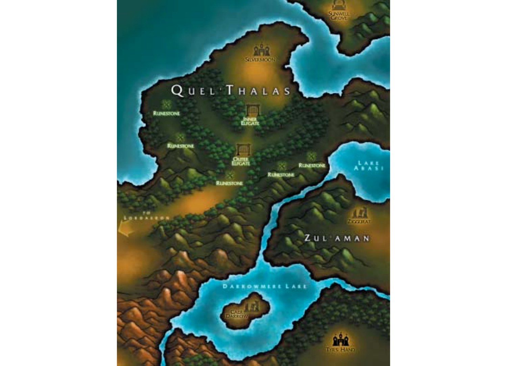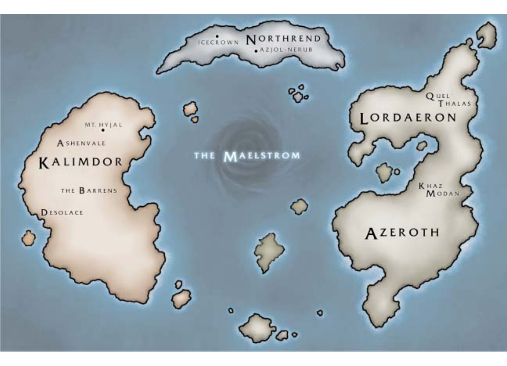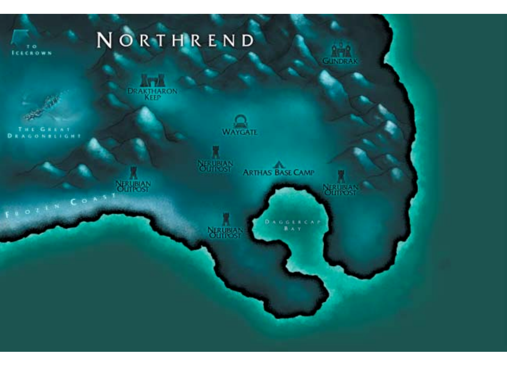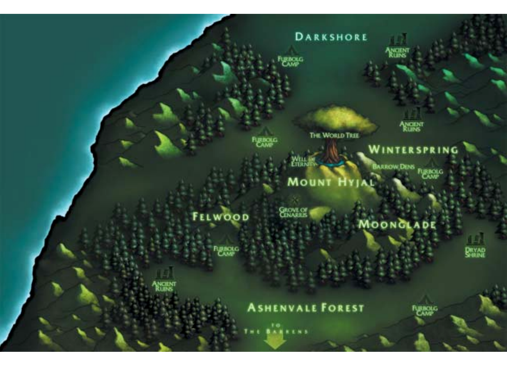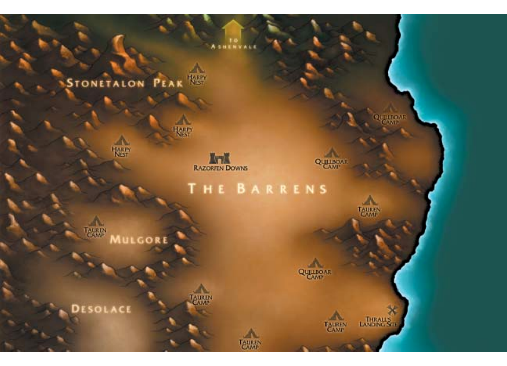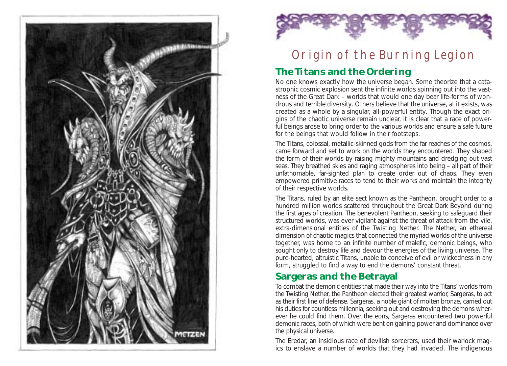



## Origin of the Burning Legion

### **The Titans and the Ordering**

No one knows exactly how the universe began. Some theorize that a catastrophic cosmic explosion sent the infinite worlds spinning out into the vastness of the Great Dark – worlds that would one day bear life-forms of wondrous and terrible diversity. Others believe that the universe, at it exists, was created as a whole by a singular, all-powerful entity. Though the exact origins of the chaotic universe remain unclear, it is clear that a race of powerful beings arose to bring order to the various worlds and ensure a safe future for the beings that would follow in their footsteps.

The Titans, colossal, metallic-skinned gods from the far reaches of the cosmos, came forward and set to work on the worlds they encountered. They shaped the form of their worlds by raising mighty mountains and dredging out vast seas. They breathed skies and raging atmospheres into being – all part of their unfathomable, far-sighted plan to create order out of chaos. They even empowered primitive races to tend to their works and maintain the integrity of their respective worlds.

The Titans, ruled by an elite sect known as the Pantheon, brought order to a hundred million worlds scattered throughout the Great Dark Beyond during the first ages of creation. The benevolent Pantheon, seeking to safeguard their structured worlds, was ever vigilant against the threat of attack from the vile, extra-dimensional entities of the Twisting Nether. The Nether, an ethereal dimension of chaotic magics that connected the myriad worlds of the universe together, was home to an infinite number of malefic, demonic beings, who sought only to destroy life and devour the energies of the living universe. The pure-hearted, altruistic Titans, unable to conceive of evil or wickedness in any form, struggled to find a way to end the demons' constant threat.

### **Sargeras and the Betrayal**

To combat the demonic entities that made their way into the Titans' worlds from the Twisting Nether, the Pantheon elected their greatest warrior, Sargeras, to act as their first line of defense. Sargeras, a noble giant of molten bronze, carried out his duties for countless millennia, seeking out and destroying the demons wherever he could find them. Over the eons, Sargeras encountered two powerful demonic races, both of which were bent on gaining power and dominance over the physical universe.

The Eredar, an insidious race of devilish sorcerers, used their warlock magics to enslave a number of worlds that they had invaded. The indigenous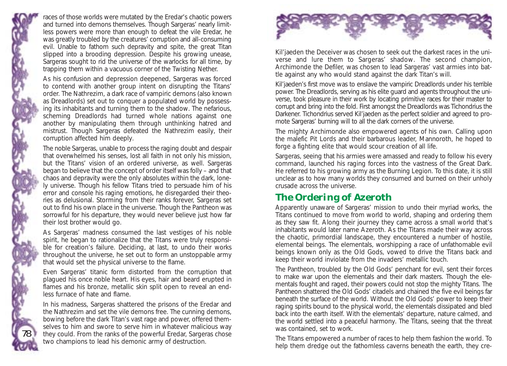races of those worlds were mutated by the Eredar's chaotic powers and turned into demons themselves. Though Sargeras' nearly limitless powers were more than enough to defeat the vile Eredar, he was greatly troubled by the creatures' corruption and all-consuming evil. Unable to fathom such depravity and spite, the great Titan slipped into a brooding depression. Despite his growing unease, Sargeras sought to rid the universe of the warlocks for all time, by trapping them within a vacuous corner of the Twisting Nether.

As his confusion and depression deepened, Sargeras was forced to contend with another group intent on disrupting the Titans' order. The Nathrezim, a dark race of vampiric demons (also known as Dreadlords) set out to conquer a populated world by possessing its inhabitants and turning them to the shadow. The nefarious, scheming Dreadlords had turned whole nations against one another by manipulating them through unthinking hatred and mistrust. Though Sargeras defeated the Nathrezim easily, their corruption affected him deeply.

The noble Sargeras, unable to process the raging doubt and despair that overwhelmed his senses, lost all faith in not only his mission, but the Titans' vision of an ordered universe, as well. Sargeras began to believe that the concept of order itself was folly – and that chaos and depravity were the only absolutes within the dark, lonely universe. Though his fellow Titans tried to persuade him of his error and console his raging emotions, he disregarded their theories as delusional. Storming from their ranks forever, Sargeras set out to find his own place in the universe. Though the Pantheon was sorrowful for his departure, they would never believe just how far their lost brother would go.

As Sargeras' madness consumed the last vestiges of his noble spirit, he began to rationalize that the Titans were truly responsible for creation's failure. Deciding, at last, to undo their works throughout the universe, he set out to form an unstoppable army that would set the physical universe to the flame.

Even Sargeras' titanic form distorted from the corruption that plagued his once noble heart. His eyes, hair and beard erupted in flames and his bronze, metallic skin split open to reveal an endless furnace of hate and flame.

In his madness, Sargeras shattered the prisons of the Eredar and the Nathrezim and set the vile demons free. The cunning demons, bowing before the dark Titan's vast rage and power, offered themselves to him and swore to serve him in whatever malicious way they could. From the ranks of the powerful Eredar, Sargeras chose two champions to lead his demonic army of destruction.

78



Kil'jaeden the Deceiver was chosen to seek out the darkest races in the universe and lure them to Sargeras' shadow. The second champion, Archimonde the Defiler, was chosen to lead Sargeras' vast armies into battle against any who would stand against the dark Titan's will.

Kil'jaeden's first move was to enslave the vampiric Dreadlords under his terrible power. The Dreadlords, serving as his elite guard and agents throughout the universe, took pleasure in their work by locating primitive races for their master to corrupt and bring into the fold. First amongst the Dreadlords was Tichondrius the Darkener. Tichondrius served Kil'jaeden as the perfect soldier and agreed to promote Sargeras' burning will to all the dark corners of the universe.

The mighty Archimonde also empowered agents of his own. Calling upon the malefic Pit Lords and their barbarous leader, Mannoroth, he hoped to forge a fighting elite that would scour creation of all life.

Sargeras, seeing that his armies were amassed and ready to follow his every command, launched his raging forces into the vastness of the Great Dark. He referred to his growing army as the Burning Legion. To this date, it is still unclear as to how many worlds they consumed and burned on their unholy crusade across the universe.

### **The Ordering of Azeroth**

Apparently unaware of Sargeras' mission to undo their myriad works, the Titans continued to move from world to world, shaping and ordering them as they saw fit. Along their journey they came across a small world that's inhabitants would later name Azeroth. As the Titans made their way across the chaotic, primordial landscape, they encountered a number of hostile, elemental beings. The elementals, worshipping a race of unfathomable evil beings known only as the Old Gods, vowed to drive the Titans back and keep their world inviolate from the invaders' metallic touch.

The Pantheon, troubled by the Old Gods' penchant for evil, sent their forces to make war upon the elementals and their dark masters. Though the elementals fought and raged, their powers could not stop the mighty Titans. The Pantheon shattered the Old Gods' citadels and chained the five evil beings far beneath the surface of the world. Without the Old Gods' power to keep their raging spirits bound to the physical world, the elementals dissipated and bled back into the earth itself. With the elementals' departure, nature calmed, and the world settled into a peaceful harmony. The Titans, seeing that the threat was contained, set to work.

The Titans empowered a number of races to help them fashion the world. To help them dredge out the fathomless caverns beneath the earth, they cre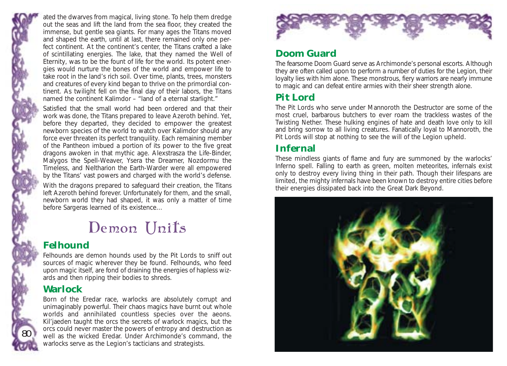ated the dwarves from magical, living stone. To help them dredge out the seas and lift the land from the sea floor, they created the immense, but gentle sea giants. For many ages the Titans moved and shaped the earth, until at last, there remained only one perfect continent. At the continent's center, the Titans crafted a lake of scintillating energies. The lake, that they named the Well of Eternity, was to be the fount of life for the world. Its potent energies would nurture the bones of the world and empower life to take root in the land's rich soil. Over time, plants, trees, monsters and creatures of every kind began to thrive on the primordial continent. As twilight fell on the final day of their labors, the Titans named the continent Kalimdor – "land of a eternal starlight."

Satisfied that the small world had been ordered and that their work was done, the Titans prepared to leave Azeroth behind. Yet, before they departed, they decided to empower the greatest newborn species of the world to watch over Kalimdor should any force ever threaten its perfect tranquility. Each remaining member of the Pantheon imbued a portion of its power to the five great dragons awoken in that mythic age. Alexstrasza the Life-Binder, Malygos the Spell-Weaver, Ysera the Dreamer, Nozdormu the Timeless, and Neltharion the Earth-Warder were all empowered by the Titans' vast powers and charged with the world's defense.

With the dragons prepared to safeguard their creation, the Titans left Azeroth behind forever. Unfortunately for them, and the small, newborn world they had shaped, it was only a matter of time before Sargeras learned of its existence…

## Demon Unifs

#### **Felhound**

Felhounds are demon hounds used by the Pit Lords to sniff out sources of magic wherever they be found. Felhounds, who feed upon magic itself, are fond of draining the energies of hapless wizards and then ripping their bodies to shreds.

### **Warlock**

80

Born of the Eredar race, warlocks are absolutely corrupt and unimaginably powerful. Their chaos magics have burnt out whole worlds and annihilated countless species over the aeons. Kil'jaeden taught the orcs the secrets of warlock magics, but the orcs could never master the powers of entropy and destruction as well as the wicked Eredar. Under Archimonde's command, the warlocks serve as the Legion's tacticians and strategists.



### **Doom Guard**

The fearsome Doom Guard serve as Archimonde's personal escorts. Although they are often called upon to perform a number of duties for the Legion, their loyalty lies with him alone. These monstrous, fiery warriors are nearly immune to magic and can defeat entire armies with their sheer strength alone.

### **Pit Lord**

The Pit Lords who serve under Mannoroth the Destructor are some of the most cruel, barbarous butchers to ever roam the trackless wastes of the Twisting Nether. These hulking engines of hate and death love only to kill and bring sorrow to all living creatures. Fanatically loyal to Mannoroth, the Pit Lords will stop at nothing to see the will of the Legion upheld.

### **Infernal**

These mindless giants of flame and fury are summoned by the warlocks' Inferno spell. Falling to earth as green, molten meteorites, infernals exist only to destroy every living thing in their path. Though their lifespans are limited, the mighty infernals have been known to destroy entire cities before their energies dissipated back into the Great Dark Beyond.

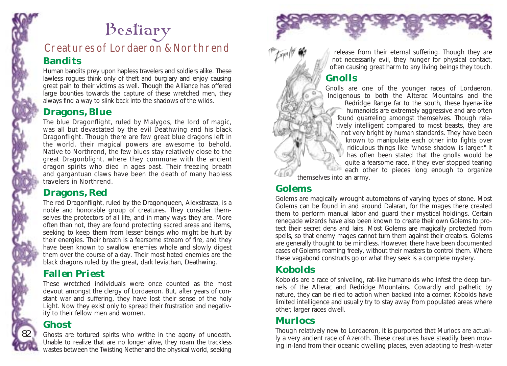# Bestiary Creatures of Lordaeron & Northrend

### **Bandits**

Human bandits prey upon hapless travelers and soldiers alike. These lawless rogues think only of theft and burglary and enjoy causing great pain to their victims as well. Though the Alliance has offered large bounties towards the capture of these wretched men, they always find a way to slink back into the shadows of the wilds.

### **Dragons, Blue**

The blue Dragonflight, ruled by Malygos, the lord of magic, was all but devastated by the evil Deathwing and his black Dragonflight. Though there are few great blue dragons left in the world, their magical powers are awesome to behold. Native to Northrend, the few blues stay relatively close to the great Dragonblight, where they commune with the ancient dragon spirits who died in ages past. Their freezing breath and gargantuan claws have been the death of many hapless travelers in Northrend.

### **Dragons, Red**

The red Dragonflight, ruled by the Dragonqueen, Alexstrasza, is a noble and honorable group of creatures. They consider themselves the protectors of all life, and in many ways they are. More often than not, they are found protecting sacred areas and items, seeking to keep them from lesser beings who might be hurt by their energies. Their breath is a fearsome stream of fire, and they have been known to swallow enemies whole and slowly digest them over the course of a day. Their most hated enemies are the black dragons ruled by the great, dark leviathan, Deathwing.

### **Fallen Priest**

These wretched individuals were once counted as the most devout amongst the clergy of Lordaeron. But, after years of constant war and suffering, they have lost their sense of the holy Light. Now they exist only to spread their frustration and negativity to their fellow men and women.

### **Ghost**

82

Ghosts are tortured spirits who writhe in the agony of undeath. Unable to realize that are no longer alive, they roam the trackless wastes between the Twisting Nether and the physical world, seeking

release from their eternal suffering. Though they are not necessarily evil, they hunger for physical contact, often causing great harm to any living beings they touch.

### **Gnolls**

Gnolls are one of the younger races of Lordaeron. Indigenous to both the Alterac Mountains and the Redridge Range far to the south, these hyena-like humanoids are extremely aggressive and are often found quarreling amongst themselves. Though relatively intelligent compared to most beasts, they are not very bright by human standards. They have been known to manipulate each other into fights over ridiculous things like "whose shadow is larger." It has often been stated that the gnolls would be quite a fearsome race, if they ever stopped tearing each other to pieces long enough to organize

themselves into an army.

### **Golems**

Golems are magically wrought automatons of varying types of stone. Most Golems can be found in and around Dalaran, for the mages there created them to perform manual labor and guard their mystical holdings. Certain renegade wizards have also been known to create their own Golems to protect their secret dens and lairs. Most Golems are magically protected from spells, so that enemy mages cannot turn them against their creators. Golems are generally thought to be mindless. However, there have been documented cases of Golems roaming freely, without their masters to control them. Where these vagabond constructs go or what they seek is a complete mystery.

### **Kobolds**

Kobolds are a race of sniveling, rat-like humanoids who infest the deep tunnels of the Alterac and Redridge Mountains. Cowardly and pathetic by nature, they can be riled to action when backed into a corner. Kobolds have limited intelligence and usually try to stay away from populated areas where other, larger races dwell.

### **Murlocs**

Though relatively new to Lordaeron, it is purported that Murlocs are actually a very ancient race of Azeroth. These creatures have steadily been moving in-land from their oceanic dwelling places, even adapting to fresh-water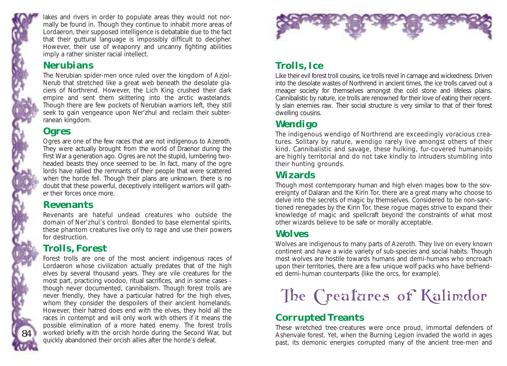lakes and rivers in order to populate areas they would not normally be found in. Though they continue to inhabit more areas of Lordaeron, their supposed intelligence is debatable due to the fact that their guttural language is impossibly difficult to decipher. However, their use of weaponry and uncanny fighting abilities imply a rather sinister racial intellect.

#### **Nerubians**

The Nerubian spider-men once ruled over the kingdom of Azjol-Nerub that stretched like a great web beneath the desolate glaciers of Northrend. However, the Lich King crushed their dark empire and sent them skittering into the arctic wastelands. Though there are few pockets of Nerubian warriors left, they still seek to gain vengeance upon Ner'zhul and reclaim their subterranean kingdom.

### **Ogres**

Ogres are one of the few races that are not indigenous to Azeroth. They were actually brought from the world of Draenor during the First War a generation ago. Ogres are not the stupid, lumbering twoheaded beasts they once seemed to be. In fact, many of the ogre lords have rallied the remnants of their people that were scattered when the horde fell. Though their plans are unknown, there is no doubt that these powerful, deceptively intelligent warriors will gather their forces once more.

#### **Revenants**

Revenants are hateful undead creatures who outside the domain of Ner'zhul's control. Bonded to base elemental spirits, these phantom creatures live only to rage and use their powers for destruction.

### **Trolls, Forest**

84

C.

Forest trolls are one of the most ancient indigenous races of Lordaeron whose civilization actually predates that of the high elves by several thousand years. They are vile creatures for the most part, practicing voodoo, ritual sacrifices, and in some cases though never documented, cannibalism. Though forest trolls are never friendly, they have a particular hatred for the high elves, whom they consider the despoilers of their ancient homelands. However, their hatred does end with the elves, they hold all the races in contempt and will only work with others if it means the possible elimination of a more hated enemy. The forest trolls worked briefly with the orcish horde during the Second War, but quickly abandoned their orcish allies after the horde's defeat.



### **Trolls, Ice**

Like their evil forest troll cousins, ice trolls revel in carnage and wickedness. Driven into the desolate wastes of Northrend in ancient times, the ice trolls carved out a meager society for themselves amongst the cold stone and lifeless plains. Cannibalistic by nature, ice trolls are renowned for their love of eating their recently slain enemies raw. Their social structure is very similar to that of their forest dwelling cousins.

### **Wendigo**

The indigenous wendigo of Northrend are exceedingly voracious creatures. Solitary by nature, wendigo rarely live amongst others of their kind. Cannibalistic and savage, these hulking, fur-covered humanoids are highly territorial and do not take kindly to intruders stumbling into their hunting grounds.

### **Wizards**

Though most contemporary human and high elven mages bow to the sovereignty of Dalaran and the Kirin Tor, there are a great many who choose to delve into the secrets of magic by themselves. Considered to be non-sanctioned renegades by the Kirin Tor, these rogue mages strive to expand their knowledge of magic and spellcraft beyond the constraints of what most other wizards believe to be safe or morally acceptable.

### **Wolves**

Wolves are indigenous to many parts of Azeroth. They live on every known continent and have a wide variety of sub-species and social habits. Though most wolves are hostile towards humans and demi-humans who encroach upon their territories, there are a few unique wolf packs who have befriended demi-human counterparts (like the orcs, for example).

# The Creatures of Kalimdor

### **Corrupted Treants**

These wretched tree-creatures were once proud, immortal defenders of Ashenvale forest. Yet, when the Burning Legion invaded the world in ages past, its demonic energies corrupted many of the ancient tree-men and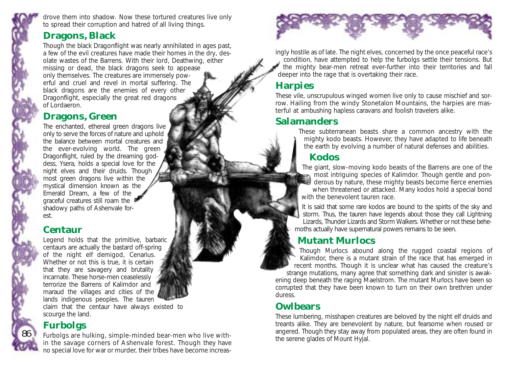drove them into shadow. Now these tortured creatures live only to spread their corruption and hatred of all living things.

### **Dragons, Black**

Though the black Dragonflight was nearly annihilated in ages past, a few of the evil creatures have made their homes in the dry, desolate wastes of the Barrens. With their lord, Deathwing, either missing or dead, the black dragons seek to appease only themselves. The creatures are immensely powerful and cruel and revel in mortal suffering. The black dragons are the enemies of every other Dragonflight, especially the great red dragons of Lordaeron.

### **Dragons, Green**

The enchanted, ethereal green dragons live only to serve the forces of nature and uphold the balance between mortal creatures and the ever-evolving world. The green Dragonflight, ruled by the dreaming goddess, Ysera, holds a special love for the night elves and their druids. Though most green dragons live within the mystical dimension known as the Emerald Dream, a few of the graceful creatures still roam the shadowy paths of Ashenvale forest.

### **Centaur**

Legend holds that the primitive, barbaric centaurs are actually the bastard off-spring of the night elf demigod, Cenarius. Whether or not this is true, it is certain that they are savagery and brutality incarnate. These horse-men ceaselessly terrorize the Barrens of Kalimdor and maraud the villages and cities of the lands indigenous peoples. The tauren claim that the centaur have always existed to scourge the land.

### **Furbolgs**

86

Furbolgs are hulking, simple-minded bear-men who live within the savage corners of Ashenvale forest. Though they have no special love for war or murder, their tribes have become increas-



ingly hostile as of late. The night elves, concerned by the once peaceful race's condition, have attempted to help the furbolgs settle their tensions. But the mighty bear-men retreat ever-further into their territories and fall deeper into the rage that is overtaking their race.

### **Harpies**

These vile, unscrupulous winged women live only to cause mischief and sorrow. Hailing from the windy Stonetalon Mountains, the harpies are masterful at ambushing hapless caravans and foolish travelers alike.

#### **Salamanders**

These subterranean beasts share a common ancestry with the mighty kodo beasts. However, they have adapted to life beneath the earth by evolving a number of natural defenses and abilities.

### **Kodos**

The giant, slow-moving kodo beasts of the Barrens are one of the most intriguing species of Kalimdor. Though gentle and ponderous by nature, these mighty beasts become fierce enemies when threatened or attacked. Many kodos hold a special bond with the benevolent tauren race.

It is said that some rare kodos are bound to the spirits of the sky and storm. Thus, the tauren have legends about those they call Lightning Lizards, Thunder Lizards and Storm Walkers. Whether or not these behemoths actually have supernatural powers remains to be seen.

### **Mutant Murlocs**

Though Murlocs abound along the rugged coastal regions of Kalimdor, there is a mutant strain of the race that has emerged in recent months. Though it is unclear what has caused the creature's strange mutations, many agree that something dark and sinister is awak-

ening deep beneath the raging Maelstrom. The mutant Murlocs have been so corrupted that they have been known to turn on their own brethren under duress.

#### **Owlbears**

These lumbering, misshapen creatures are beloved by the night elf druids and treants alike. They are benevolent by nature, but fearsome when roused or angered. Though they stay away from populated areas, they are often found in the serene glades of Mount Hyjal.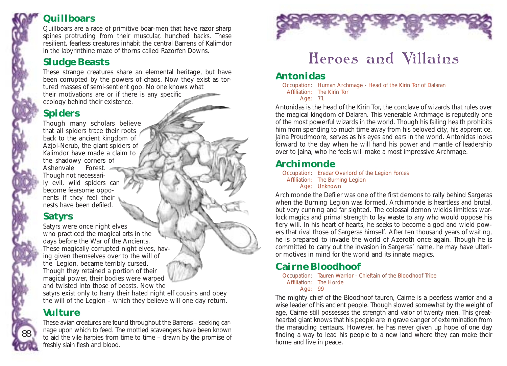### **Quillboars**

Quillboars are a race of primitive boar-men that have razor sharp spines protruding from their muscular, hunched backs. These resilient, fearless creatures inhabit the central Barrens of Kalimdor in the labyrinthine maze of thorns called Razorfen Downs.

### **Sludge Beasts**

These strange creatures share an elemental heritage, but have been corrupted by the powers of chaos. Now they exist as tortured masses of semi-sentient goo. No one knows what their motivations are or if there is any specific ecology behind their existence.

### **Spiders**

Though many scholars believe that all spiders trace their roots back to the ancient kingdom of Aziol-Nerub, the giant spiders of Kalimdor have made a claim to the shadowy corners of Ashenvale Forest. Though not necessarily evil, wild spiders can become fearsome opponents if they feel their nests have been defiled.

### **Satyrs**

Satyrs were once night elves who practiced the magical arts in the days before the War of the Ancients. These magically corrupted night elves, having given themselves over to the will of the Legion, became terribly cursed. Though they retained a portion of their magical power, their bodies were warped and twisted into those of beasts. Now the

satyrs exist only to harry their hated night elf cousins and obey the will of the Legion – which they believe will one day return.

### **Vulture**

88

These avian creatures are found throughout the Barrens – seeking carnage upon which to feed. The mottled scavengers have been known to aid the vile harpies from time to time – drawn by the promise of freshly slain flesh and blood.



# Heroes and Villains

#### **Antonidas**

Occupation: Human Archmage - Head of the Kirin Tor of Dalaran Affiliation: The Kirin Tor

Age: 71

Antonidas is the head of the Kirin Tor, the conclave of wizards that rules over the magical kingdom of Dalaran. This venerable Archmage is reputedly one of the most powerful wizards in the world. Though his failing health prohibits him from spending to much time away from his beloved city, his apprentice, Jaina Proudmoore, serves as his eyes and ears in the world. Antonidas looks forward to the day when he will hand his power and mantle of leadership over to Jaina, who he feels will make a most impressive Archmage.

### **Archimonde**

Occupation: Eredar Overlord of the Legion Forces Affiliation: The Burning Legion Age: Unknown

Archimonde the Defiler was one of the first demons to rally behind Sargeras when the Burning Legion was formed. Archimonde is heartless and brutal, but very cunning and far sighted. The colossal demon wields limitless warlock magics and primal strength to lay waste to any who would oppose his fiery will. In his heart of hearts, he seeks to become a god and wield powers that rival those of Sargeras himself. After ten thousand years of waiting, he is prepared to invade the world of Azeroth once again. Though he is committed to carry out the invasion in Sargeras' name, he may have ulterior motives in mind for the world and its innate magics.

### **Cairne Bloodhoof**

Occupation: Tauren Warrior - Chieftain of the Bloodhoof Tribe Affiliation: The Horde Age: 99

The mighty chief of the Bloodhoof tauren, Cairne is a peerless warrior and a wise leader of his ancient people. Though slowed somewhat by the weight of age, Cairne still possesses the strength and valor of twenty men. This greathearted giant knows that his people are in grave danger of extermination from the marauding centaurs. However, he has never given up hope of one day finding a way to lead his people to a new land where they can make their home and live in peace.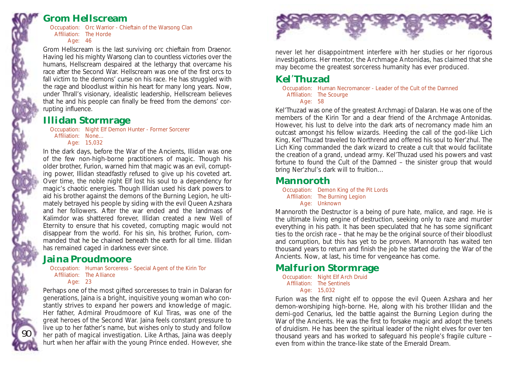#### **Grom Hellscream**

Occupation: Orc Warrior - Chieftain of the Warsong Clan Affiliation: The Horde Age: 46

Grom Hellscream is the last surviving orc chieftain from Draenor. Having led his mighty Warsong clan to countless victories over the humans, Hellscream despaired at the lethargy that overcame his race after the Second War. Hellscream was one of the first orcs to fall victim to the demons' curse on his race. He has struggled with the rage and bloodlust within his heart for many long years. Now, under Thrall's visionary, idealistic leadership, Hellscream believes that he and his people can finally be freed from the demons' corrupting influence.

#### **Illidan Stormrage**

Occupation: Night Elf Demon Hunter - Former Sorcerer Affiliation: None… Age: 15,032

In the dark days, before the War of the Ancients, Illidan was one of the few non-high-borne practitioners of magic. Though his older brother, Furion, warned him that magic was an evil, corrupting power, Illidan steadfastly refused to give up his coveted art. Over time, the noble night Elf lost his soul to a dependency for magic's chaotic energies. Though Illidan used his dark powers to aid his brother against the demons of the Burning Legion, he ultimately betrayed his people by siding with the evil Queen Azshara and her followers. After the war ended and the landmass of Kalimdor was shattered forever, Illidan created a new Well of Eternity to ensure that his coveted, corrupting magic would not disappear from the world. For his sin, his brother, Furion, commanded that he be chained beneath the earth for all time. Illidan has remained caged in darkness ever since.

#### **Jaina Proudmoore**

90

Occupation: Human Sorceress - Special Agent of the Kirin Tor Affiliation: The Alliance Age: 23

Perhaps one of the most gifted sorceresses to train in Dalaran for generations, Jaina is a bright, inquisitive young woman who constantly strives to expand her powers and knowledge of magic. Her father, Admiral Proudmoore of Kul Tiras, was one of the great heroes of the Second War. Jaina feels constant pressure to live up to her father's name, but wishes only to study and follow her path of magical investigation. Like Arthas, Jaina was deeply hurt when her affair with the young Prince ended. However, she



never let her disappointment interfere with her studies or her rigorous investigations. Her mentor, the Archmage Antonidas, has claimed that she may become the greatest sorceress humanity has ever produced.

### **Kel**'**Thuzad**

```
Occupation: Human Necromancer - Leader of the Cult of the Damned
Affiliation: The Scourge
     Age: 58
```
Kel'Thuzad was one of the greatest Archmagi of Dalaran. He was one of the members of the Kirin Tor and a dear friend of the Archmage Antonidas. However, his lust to delve into the dark arts of necromancy made him an outcast amongst his fellow wizards. Heeding the call of the god-like Lich King, Kel'Thuzad traveled to Northrend and offered his soul to Ner'zhul. The Lich King commanded the dark wizard to create a cult that would facilitate the creation of a grand, undead army. Kel'Thuzad used his powers and vast fortune to found the Cult of the Damned – the sinister group that would bring Ner'zhul's dark will to fruition…

#### **Mannoroth**

Occupation: Demon King of the Pit Lords Affiliation: The Burning Legion Age: Unknown

Mannoroth the Destructor is a being of pure hate, malice, and rage. He is the ultimate living engine of destruction, seeking only to raze and murder everything in his path. It has been speculated that he has some significant ties to the orcish race – that he may be the original source of their bloodlust and corruption, but this has yet to be proven. Mannoroth has waited ten thousand years to return and finish the job he started during the War of the Ancients. Now, at last, his time for vengeance has come.

### **Malfurion Stormrage**

Occupation: Night Elf Arch Druid Affiliation: The Sentinels Age: 15,032

Furion was the first night elf to oppose the evil Queen Azshara and her demon-worshiping high-borne. He, along with his brother Illidan and the demi-god Cenarius, led the battle against the Burning Legion during the War of the Ancients. He was the first to forsake magic and adopt the tenets of druidism. He has been the spiritual leader of the night elves for over ten thousand years and has worked to safeguard his people's fragile culture – even from within the trance-like state of the Emerald Dream.